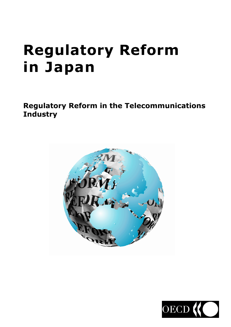# **Regulatory Reform** in Japan

**Regulatory Reform in the Telecommunications Industry** 



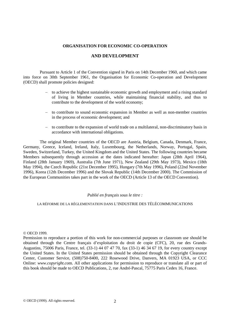## **ORGANISATION FOR ECONOMIC CO-OPERATION**

## **AND DEVELOPMENT**

 Pursuant to Article 1 of the Convention signed in Paris on 14th December 1960, and which came into force on 30th September 1961, the Organisation for Economic Co-operation and Development (OECD) shall promote policies designed:

- to achieve the highest sustainable economic growth and employment and a rising standard of living in Member countries, while maintaining financial stability, and thus to contribute to the development of the world economy;
- to contribute to sound economic expansion in Member as well as non-member countries in the process of economic development; and
- to contribute to the expansion of world trade on a multilateral, non-discriminatory basis in accordance with international obligations.

 The original Member countries of the OECD are Austria, Belgium, Canada, Denmark, France, Germany, Greece, Iceland, Ireland, Italy, Luxembourg, the Netherlands, Norway, Portugal, Spain, Sweden, Switzerland, Turkey, the United Kingdom and the United States. The following countries became Members subsequently through accession at the dates indicated hereafter: Japan (28th April 1964), Finland (28th January 1969), Australia (7th June 1971), New Zealand (29th May 1973), Mexico (18th May 1994), the Czech Republic (21st December 1995), Hungary (7th May 1996), Poland (22nd November 1996), Korea (12th December 1996) and the Slovak Republic (14th December 2000). The Commission of the European Communities takes part in the work of the OECD (Article 13 of the OECD Convention).

## *Publié en français sous le titre :*

## LA RÉFORME DE LA RÉGLEMENTATION DANS L'INDUSTRIE DES TÉLÉCOMMUNICATIONS

#### © OECD 1999.

Permission to reproduce a portion of this work for non-commercial purposes or classroom use should be obtained through the Centre français d'exploitation du droit de copie (CFC), 20, rue des Grands-Augustins, 75006 Paris, France, tel. (33-1) 44 07 47 70, fax (33-1) 46 34 67 19, for every country except the United States. In the United States permission should be obtained through the Copyright Clearance Center, Customer Service, (508)750-8400, 222 Rosewood Drive, Danvers, MA 01923 USA, or CCC Online: *www.copyright.co*m. All other applications for permission to reproduce or translate all or part of this book should be made to OECD Publications, 2, rue André-Pascal, 75775 Paris Cedex 16, France.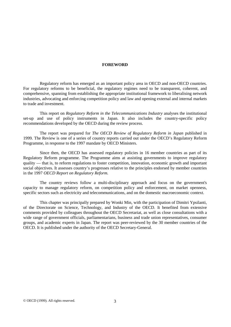#### **FOREWORD**

 Regulatory reform has emerged as an important policy area in OECD and non-OECD countries. For regulatory reforms to be beneficial, the regulatory regimes need to be transparent, coherent, and comprehensive, spanning from establishing the appropriate institutional framework to liberalising network industries, advocating and enforcing competition policy and law and opening external and internal markets to trade and investment.

 This report on *Regulatory Reform in the Telecommunications Industry* analyses the institutional set-up and use of policy instruments in Japan. It also includes the country-specific policy recommendations developed by the OECD during the review process.

 The report was prepared for *The OECD Review of Regulatory Reform in Japan* published in 1999. The Review is one of a series of country reports carried out under the OECD's Regulatory Reform Programme, in response to the 1997 mandate by OECD Ministers.

 Since then, the OECD has assessed regulatory policies in 16 member countries as part of its Regulatory Reform programme. The Programme aims at assisting governments to improve regulatory quality — that is, to reform regulations to foster competition, innovation, economic growth and important social objectives. It assesses country's progresses relative to the principles endorsed by member countries in the 1997 *OECD Report on Regulatory Reform*.

 The country reviews follow a multi-disciplinary approach and focus on the government's capacity to manage regulatory reform, on competition policy and enforcement, on market openness, specific sectors such as electricity and telecommunications, and on the domestic macroeconomic context.

 This chapter was principally prepared by Wonki Min, with the participation of Dimitri Ypsilanti, of the Directorate on Science, Technology, and Industry of the OECD. It benefited from extensive comments provided by colleagues throughout the OECD Secretariat, as well as close consultations with a wide range of government officials, parliamentarians, business and trade union representatives, consumer groups, and academic experts in Japan. The report was peer-reviewed by the 30 member countries of the OECD. It is published under the authority of the OECD Secretary-General.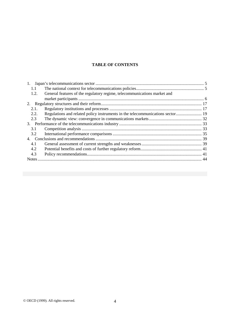# **TABLE OF CONTENTS**

| 1.   |                                                                                |  |
|------|--------------------------------------------------------------------------------|--|
| 1.1  |                                                                                |  |
| 1.2. | General features of the regulatory regime, telecommunications market and       |  |
|      |                                                                                |  |
| 2.   |                                                                                |  |
| 2.1. |                                                                                |  |
| 2.2. | Regulations and related policy instruments in the telecommunications sector 19 |  |
| 2.3  |                                                                                |  |
|      |                                                                                |  |
| 3.1  |                                                                                |  |
| 3.2  |                                                                                |  |
| 4.   |                                                                                |  |
| 4.1  |                                                                                |  |
| 4.2  |                                                                                |  |
| 4.3  |                                                                                |  |
|      |                                                                                |  |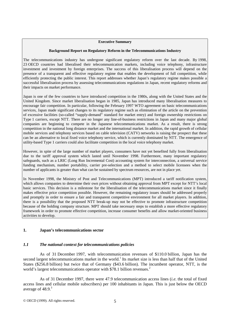## **Executive Summary**

## **Background Report on Regulatory Reform in the Telecommunications Industry**

The telecommunications industry has undergone significant regulatory reform over the last decade. By 1998, 23 OECD countries had liberalised their telecommunication markets, including voice telephony, infrastructure investment and investment by foreign enterprises. The success of this liberalisation process will depend on the presence of a transparent and effective regulatory regime that enables the development of full competition, while efficiently protecting the public interest. This report addresses whether Japan's regulatory regime makes possible a successful liberalisation process by assessing telecommunications regulations in Japan, recent regulatory reforms and their impacts on market performance.

Japan is one of the few countries to have introduced competition in the 1980s, along with the United States and the United Kingdom. Since market liberalisation began in 1985, Japan has introduced many liberalisation measures to encourage fair competition. In particular, following the February 1997 WTO agreement on basic telecommunications services, Japan made significant changes to its regulatory regime such as elimination of the article on the prevention of excessive facilities (so-called "supply-demand" standard for market entry) and foreign ownership restrictions on Type 1 carriers, except NTT. There are no longer any line-of-business restrictions in Japan and many major global companies are beginning to compete in the Japanese telecommunications market. As a result, there is strong competition in the national long distance market and the international market. In addition, the rapid growth of cellular mobile services and telephony services based on cable television (CATV) networks is raising the prospect that these can be an alternative to local fixed voice telephony service, which is currently dominated by NTT. The emergence of utility-based Type 1 carriers could also facilitate competition in the local voice telephony market.

However, in spite of the large number of market players, consumers have not yet benefited fully from liberalisation due to the tariff approval system which lasted until November 1998. Furthermore, many important regulatory safeguards, such as a LRIC (Long Run Incremental Cost) accounting system for interconnection, a universal service funding mechanism, number portability, carrier pre-selection and a method to select mobile licensees when the number of applicants is greater than what can be sustained by spectrum resources, are not in place yet.

In November 1998, the Ministry of Post and Telecommunications (MPT) introduced a tariff notification system, which allows companies to determine their own prices without obtaining approval from MPT except for NTT's local basic services. This decision is a milestone for the liberalisation of the telecommunications market since it finally makes effective price competition possible. However, the remaining regulatory issues should be addressed properly and promptly in order to ensure a fair and transparent competitive environment for all market players. In addition, there is a possibility that the proposed NTT break-up may not be effective to promote infrastructure competition because of the holding company structure. MPT should take necessary steps to establish a more effective regulatory framework in order to promote effective competition, increase consumer benefits and allow market-oriented business activities to develop.

## **1. Japan's telecommunications sector**

## *1.1 The national context for telecommunications policies*

 As of 31 December 1997, with telecommunication revenues of \$110.0 billion, Japan has the second largest telecommunications market in the world.<sup>1</sup> Its market size is less than half that of the United States (\$256.8 billion) but twice that of Germany (\$43.6 billion). The incumbent operator, NTT, is the world's largest telecommunications operator with \$78.1 billion revenues.<sup>2</sup>

 As of 31 December 1997, there were 47.9 telecommunication access lines (*i.e.* the total of fixed access lines and cellular mobile subscribers) per 100 inhabitants in Japan. This is just below the OECD average of 48.9.<sup>3</sup>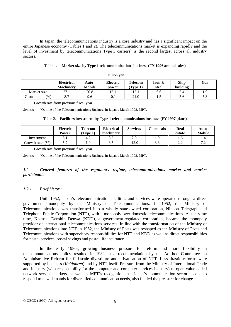In Japan, the telecommunications industry is a core industry and has a significant impact on the entire Japanese economy (Tables 1 and 2). The telecommunications market is expanding rapidly and the level of investment by telecommunications Type 1 carriers<sup>4</sup> is the second largest across all industry sectors.

| Table 1. |  | Market size by Type 1 telecommunications business (FY 1996 annual sales) |  |
|----------|--|--------------------------------------------------------------------------|--|
|----------|--|--------------------------------------------------------------------------|--|

(Trillion yen)

|                      | <b>Electrical</b><br><b>Machinery</b> | Auto-<br><b>Mobile</b> | <b>Electric</b><br>power | <b>Telecom</b><br>(Type 1) | Iron &<br>steel | <b>Ship</b><br>building | Gas       |
|----------------------|---------------------------------------|------------------------|--------------------------|----------------------------|-----------------|-------------------------|-----------|
| Market size          | つつ<br>21.1                            | 20.8                   | 15.1                     | 14.1                       | 6.6             | 5.4                     | 1.9       |
| (% )<br>Growth rate' | о.                                    | 9.6                    | $-0.1$                   | 21.0                       | ن د             | 5.6                     | 52<br>ر.ر |

1. Growth rate from previous fiscal year.

*Source*: "Outline of the Telecommunications Business in Japan", March 1998, MPT.

|  | Table 2. Facilities investment by Type 1 telecommunications business (FY 1997 plans) |  |  |  |  |  |
|--|--------------------------------------------------------------------------------------|--|--|--|--|--|
|--|--------------------------------------------------------------------------------------|--|--|--|--|--|

|                      | Electric<br><b>Power</b> | <b>Telecom</b><br>(Tvpe1) | <b>Electrical</b><br>machinery | <b>Services</b> | <b>Chemicals</b> | Real<br>estate    | Auto-<br><b>Mobile</b> |
|----------------------|--------------------------|---------------------------|--------------------------------|-----------------|------------------|-------------------|------------------------|
| Investment           | 5.1                      | 4.2                       | 3.5                            | 2.9             | 1.9              |                   |                        |
| (% )<br>Growth rate' | ، ب                      | Q<br>.                    | 25<br>ر. ر                     | $-12.0$         | 3.3              | $\sim$ $\sim$<br> | 7 <sub>2</sub><br>ے ،  |

1. Growth rate from previous fiscal year.

*Source:* "Outline of the Telecommunications Business in Japan", March 1998, MPT*.* 

## *1.2. General features of the regulatory regime, telecommunications market and market participants*

## *1.2.1 Brief history*

 Until 1952, Japan's telecommunication facilities and services were operated through a direct government monopoly by the Ministry of Telecommunications. In 1952, the Ministry of Telecommunications was transformed into a wholly state-owned corporation, Nippon Telegraph and Telephone Public Corporation (NTT), with a monopoly over domestic telecommunications. At the same time, Kokusai Denshin Denwa (KDD), a government-regulated corporation, became the monopoly provider of international telecommunications services. In line with the transformation of the Ministry of Telecommunications into NTT in 1952, the Ministry of Posts was reshaped as the Ministry of Posts and Telecommunications with supervisory responsibilities for NTT and KDD as well as direct responsibilities for postal services, postal savings and postal life insurance.

 In the early 1980s, growing business pressure for reform and more flexibility in telecommunications policy resulted in 1982 in a recommendation by the Ad hoc Committee on Administrative Reform for full-scale divestiture and privatisation of NTT. Less drastic reforms were supported by business (*Keidanren*) and by NTT itself. Pressure from the Ministry of International Trade and Industry (with responsibility for the computer and computer services industry) to open value-added network service markets, as well as MPT's recognition that Japan's communication sector needed to respond to new demands for diversified communication needs, also fuelled the pressure for change.

© OECD (1999). All rights reserved. 6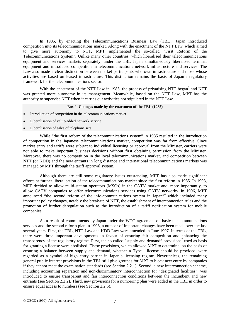In 1985, by enacting the Telecommunications Business Law (TBL), Japan introduced competition into its telecommunications market. Along with the enactment of the NTT Law, which aimed to give more autonomy to NTT, MPT implemented the so-called "First Reform of the Telecommunications System". Unlike many other countries, which liberalised their telecommunications equipment and services markets separately, under the TBL Japan simultaneously liberalised terminal equipment and introduced competition in telecommunications network infrastructure and services. The Law also made a clear distinction between market participants who own infrastructure and those whose activities are based on leased infrastructure. This distinction remains the basis of Japan's regulatory framework for the telecommunications sector.

With the enactment of the NTT Law in 1985, the process of privatising NTT began<sup>5</sup> and NTT was granted more autonomy in its management. Meanwhile, based on the NTT Law, MPT has the authority to supervise NTT when it carries out activities not stipulated in the NTT Law.

#### Box 1. **Changes made by the enactment of the TBL (1985)**

- $\bullet$ Introduction of competition in the telecommunications market
- $\bullet$ Liberalisation of value-added network service
- $\bullet$ Liberalisation of sales of telephone sets

 While "the first reform of the telecommunications system" in 1985 resulted in the introduction of competition in the Japanese telecommunications market, competition was far from effective. Since market entry and tariffs were subject to individual licensing or approval from the Minister, carriers were not able to make important business decisions without first obtaining permission from the Minister. Moreover, there was no competition in the local telecommunications market, and competition between NTT (or KDD) and the new entrants in long distance and international telecommunications markets was managed by MPT through the tariff approval system.

 Although there are still some regulatory issues outstanding, MPT has also made significant efforts at further liberalisation of the telecommunications market since the first reform in 1985. In 1993, MPT decided to allow multi-station operators (MSOs) in the CATV market and, more importantly, to allow CATV companies to offer telecommunications services using CATV networks. In 1996, MPT announced "the second reform of the info-communications system in Japan"<sup>6</sup> which included many important policy changes, notably the break-up of NTT, the establishment of interconnection rules and the promotion of further deregulation such as the introduction of a tariff notification system for mobile companies.

 As a result of commitments by Japan under the WTO agreement on basic telecommunications services and the second reform plan in 1996, a number of important changes have been made over the last several years. First, the TBL, NTT Law and KDD Law were amended in June 1997. In terms of the TBL, there were three important developments in favour of ensuring fair competition and enhancing the transparency of the regulatory regime. First, the so-called "supply and demand" provisions<sup>7</sup> used as basis for granting a license were abolished. These provisions, which allowed MPT to determine, on the basis of ensuring a balance between supply and demand, whether a Type 1 license should be provided, were regarded as a symbol of high entry barrier in Japan's licensing regime. Nevertheless, the remaining general public interest provisions in the TBL still give grounds for MPT to block new entry by companies if they cannot meet the examination standards (see Section 2.2.1). Second, a new interconnection scheme, including accounting separation and non-discriminatory interconnection for "designated facilities", was introduced to ensure transparent and fair interconnection conditions between the incumbent and new entrants (see Section 2.2.2). Third, new provisions for a numbering plan were added in the TBL in order to ensure equal access to numbers (see Section 2.2.5).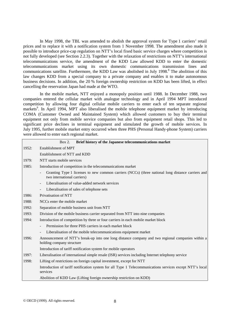In May 1998, the TBL was amended to abolish the approval system for Type 1 carriers' retail prices and to replace it with a notification system from 1 November 1998. The amendment also made it possible to introduce price-cap regulation on NTT's local fixed basic service charges where competition is not fully developed (see Section 2.2.3). Together with the relaxation of restrictions on NTT's international telecommunications service, the amendment of the KDD Law allowed KDD to enter the domestic telecommunications market using its own domestic communications transmission lines and communications satellite. Furthermore, the KDD Law was abolished in July 1998.<sup>8</sup> The abolition of this law changes KDD from a special company to a private company and enables it to make autonomous business decisions. In addition, the 20 % foreign ownership restriction on KDD has been lifted, in effect cancelling the reservation Japan had made at the WTO.

 In the mobile market**,** NTT enjoyed a monopoly position until 1988. In December 1988, two companies entered the cellular market with analogue technology and in April 1994 MPT introduced competition by allowing four digital cellular mobile carriers to enter each of ten separate regional markets<sup>9</sup>. In April 1994, MPT also liberalised the mobile telephone equipment market by introducing COMA (Customer Owned and Maintained System) which allowed customers to buy their terminal equipment not only from mobile service companies but also from equipment retail shops. This led to significant price declines in terminal equipment and stimulated the growth of mobile services. In July 1995, further mobile market entry occurred when three PHS (Personal Handy-phone System) carriers were allowed to enter each regional market.

|       | Brief history of the Japanese telecommunications market<br>Box 2.                                                                |
|-------|----------------------------------------------------------------------------------------------------------------------------------|
| 1952: | Establishment of MPT                                                                                                             |
|       | Establishment of NTT and KDD                                                                                                     |
| 1979: | NTT starts mobile services                                                                                                       |
| 1985: | Introduction of competition in the telecommunications market                                                                     |
|       | Granting Type 1 licenses to new common carriers (NCCs) (three national long distance carriers and<br>two international carriers) |
|       | Liberalisation of value-added network services                                                                                   |
|       | Liberalisation of sales of telephone sets                                                                                        |
| 1986: | Privatisation of NTT                                                                                                             |
| 1988: | NCCs enter the mobile market                                                                                                     |
| 1992: | Separation of mobile business unit from NTT                                                                                      |
| 1993: | Division of the mobile business carrier separated from NTT into nine companies                                                   |
| 1994: | Introduction of competition by three or four carriers in each mobile market block                                                |
|       | Permission for three PHS carriers in each market block                                                                           |
|       | Liberalisation of the mobile telecommunications equipment market                                                                 |
| 1996: | Announcement of NTT's break-up into one long distance company and two regional companies within a<br>holding company structure   |
|       | Introduction of tariff notification system for mobile operators                                                                  |
| 1997: | Liberalisation of international simple resale (ISR) services including Internet telephony service                                |
| 1998: | Lifting of restrictions on foreign capital investment, except for NTT                                                            |
|       | Introduction of tariff notification system for all Type 1 Telecommunications services except NTT's local<br>services             |
|       | Abolition of KDD Law (Lifting foreign ownership restriction on KDD)                                                              |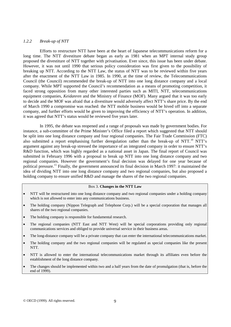## *1.2.2 Break-up of NTT*

 Efforts to restructure NTT have been at the heart of Japanese telecommunications reform for a long time. The NTT divestiture debate began as early as 1981 when an MPT internal study group proposed the divestiture of NTT together with privatisation. Ever since, this issue has been under debate. However, it was not until 1990 that serious policy consideration was first given to the possibility of breaking up NTT. According to the NTT Law, the status of NTT was to be reviewed within five years after the enactment of the NTT Law in 1985. In 1990, at the time of review, the Telecommunications Council (the Council) recommended the break-up of NTT into one long distance company and a local company. While MPT supported the Council's recommendation as a means of promoting competition, it faced strong opposition from many other interested parties such as MITI, NTT, telecommunications equipment companies, *Keidanren* and the Ministry of Finance (MOF). Many argued that it was too early to decide and the MOF was afraid that a divestiture would adversely affect NTT's share price. By the end of March 1990 a compromise was reached: the NTT mobile business would be hived off into a separate company, and further efforts would be given to improving the efficiency of NTT's operation. In addition, it was agreed that NTT's status would be reviewed five years later.

 In 1995, the debate was reopened and a range of proposals was made by government bodies. For instance, a sub-committee of the Prime Minister's Office filed a report which suggested that NTT should be split into one long distance company and four regional companies. The Fair Trade Commission (FTC) also submitted a report emphasising further deregulation rather than the break-up of NTT.<sup>10</sup> NTT's argument against any break-up stressed the importance of an integrated company in order to ensure NTT's R&D function, which was highly regarded as a national asset in Japan. The final report of Council was submitted in February 1996 with a proposal to break up NTT into one long distance company and two regional companies. However the government's final decision was delayed for one year because of political pressure.<sup>11</sup> Finally, the government announced its final decision in March 1997: it maintained the idea of dividing NTT into one long distance company and two regional companies, but also proposed a holding company to ensure unified R&D and manage the shares of the two regional companies.

#### Box 3. **Changes in the NTT Law**

- $\bullet$  NTT will be restructured into one long distance company and two regional companies under a holding company which is not allowed to enter into any communications business.
- $\bullet$  The holding company (Nippon Telegraph and Telephone Corp.) will be a special corporation that manages all shares of the two regional companies.
- $\bullet$ The holding company is responsible for fundamental research.
- $\bullet$  The regional companies (NTT East and NTT West) will be special corporations providing only regional communications services and obliged to provide universal service in their business areas.
- $\bullet$ The long-distance company will be a private company that can enter the international telecommunications market.
- $\bullet$  The holding company and the two regional companies will be regulated as special companies like the present NTT.
- $\bullet$  NTT is allowed to enter the international telecommunications market through its affiliates even before the establishment of the long distance company.
- $\bullet$  The changes should be implemented within two and a half years from the date of promulgation (that is, before the end of 1999).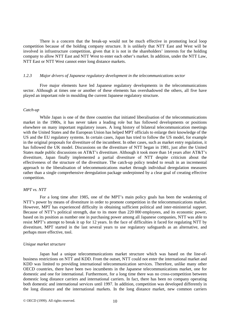There is a concern that the break-up would not be much effective in promoting local loop competition because of the holding company structure. It is unlikely that NTT East and West will be involved in infrastructure competition, given that it is not in the shareholders' interests for the holding company to allow NTT East and NTT West to enter each other's market. In addition, under the NTT Law, NTT East or NTT West cannot enter long distance markets.

## *1.2.3 Major drivers of Japanese regulatory development in the telecommunications sector*

 Five major elements have led Japanese regulatory developments in the telecommunications sector. Although at times one or another of these elements has overshadowed the others, all five have played an important role in moulding the current Japanese regulatory structure.

#### *Catch-up*

 While Japan is one of the three countries that initiated liberalisation of the telecommunications market in the 1980s, it has never taken a leading role but has followed developments or positions elsewhere on many important regulatory issues. A long history of bilateral telecommunication meetings with the United States and the European Union has helped MPT officials to enlarge their knowledge of the US and the EU regulatory systems. In certain cases, Japan has tried to follow the US model, for example in the original proposals for divestiture of the incumbent. In other cases, such as market entry regulation, it has followed the UK model. Discussions on the divestiture of NTT began in 1981, just after the United States made public discussions on AT&T's divestiture. Although it took more than 14 years after AT&T's divestiture, Japan finally implemented a partial divestiture of NTT despite criticism about the effectiveness of the structure of the divestiture. The catch-up policy tended to result in an incremental approach to the liberalisation of telecommunications market through individual deregulation measures rather than a single comprehensive deregulation package underpinned by a clear goal of creating effective competition.

## *MPT vs. NTT*

 For a long time after 1985, one of the MPT's main policy goals has been the weakening of NTT's power by means of divestiture in order to promote competition in the telecommunications market. However, MPT has experienced difficulty in obtaining sufficient political and inter-ministerial support. Because of NTT's political strength, due to its more than 220 000 employees, and its economic power, based on its position as number one in purchasing power among all Japanese companies, NTT was able to resist MPT's attempt to break it up for 12 years. In the face of difficulties it faced for regulating NTT by divestiture, MPT started in the last several years to use regulatory safeguards as an alternative, and perhaps more effective, tool.

#### *Unique market structure*

 Japan had a unique telecommunications market structure which was based on the line-ofbusiness restrictions on NTT and KDD. From the outset, NTT could not enter the international market and KDD was limited to providing international telecommunication services. Therefore, unlike many other OECD countries, there have been two incumbents in the Japanese telecommunications market, one for domestic and one for international. Furthermore, for a long time there was no cross-competition between domestic long distance carriers and international carriers. In fact, there has been no company operating both domestic and international services until 1997. In addition, competition was developed differently in the long distance and the international markets. In the long distance market, new common carriers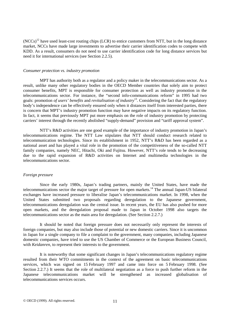$(NCCs)^{12}$  have used least-cost routing chips (LCR) to entice customers from NTT, but in the long distance market, NCCs have made large investments to advertise their carrier identification codes to compete with KDD. As a result, consumers do not need to use carrier identification code for long distance services but need it for international services (see Section 2.2.5).

#### *Consumer protection vs. industry promotion*

 MPT has authority both as a regulator and a policy maker in the telecommunications sector. As a result, unlike many other regulatory bodies in the OECD Member countries that solely aim to protect consumer benefits, MPT is responsible for consumer protection as well as industry promotion in the telecommunications sector. For instance, the "second info-communications reform" in 1995 had two goals: promotion *of users' benefits* and *revitalisation of industry*<sup>13</sup>*.* Considering the fact that the regulatory body's independence can be effectively ensured only when it distances itself from interested parties, there is concern that MPT's industry promotion function may have negative impacts on its regulatory function. In fact, it seems that previously MPT put more emphasis on the role of industry promotion by protecting carriers' interest through the recently abolished "supply-demand" provision and "tariff approval system".

 NTT's R&D activities are one good example of the importance of industry promotion in Japan's telecommunications regime. The NTT Law stipulates that NTT should conduct research related to telecommunication technologies. Since its establishment in 1952, NTT's R&D has been regarded as a national asset and has played a vital role in the promotion of the competitiveness of the so-called NTT family companies, namely NEC, Hitachi, Oki and Fujitsu. However, NTT's role tends to be decreasing due to the rapid expansion of R&D activities on Internet and multimedia technologies in the telecommunications sector.

#### *Foreign pressure*

 Since the early 1980s, Japan's trading partners, mainly the United States, have made the telecommunications sector the major target of pressure for open markets.<sup>14</sup> The annual Japan-US bilateral exchanges have increased pressure to liberalise Japan's telecommunications market. In 1998, when the United States submitted two proposals regarding deregulation to the Japanese government, telecommunications deregulation was the central issue. In recent years, the EU has also pushed for more open markets, and the deregulation proposal made to Japan in October 1998 also targets the telecommunications sector as the main area for deregulation. (See Section 2.2.7.)

 It should be noted that foreign pressure does not necessarily only represent the interests of foreign companies, but may also include those of potential or new domestic carriers. Since it is uncommon in Japan for a single company to file a complaint to the government, many companies, including Japanese domestic companies, have tried to use the US Chamber of Commerce or the European Business Council, with *Keidanren*, to represent their interests to the government.

 It is noteworthy that some significant changes in Japan's telecommunications regulatory regime resulted from their WTO commitments in the context of the agreement on basic telecommunications services, which was signed on 15 February 1997 and came into force on 5 February 1998. (See Section 2.2.7.) It seems that the role of multilateral negotiation as a force to push further reform in the Japanese telecommunications market will be strengthened as increased globalisation of telecommunications services occurs.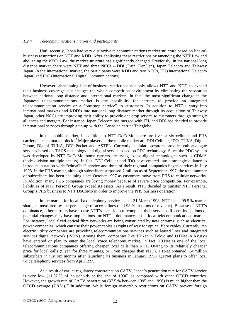## *1.2.4 Telecommunications market and participants*

 Until recently, Japan had very distinctive telecommunications market structure based on line-ofbusiness restrictions on NTT and KDD. After abolishing these restrictions by amending the NTT Law and abolishing the KDD Law, the market structure has significantly changed. Previously, in the national long distance market, there were NTT and three NCCs -- DDI (Daini DenDen), Japan Telecom and Teleway Japan. In the international market, the participants were KDD and two NCCs, ITJ (International Telecom Japan) and IDC (International Digital Communications).

 However, abandoning line-of-business restrictions not only allows NTT and KDD to expand their business coverage, but changes the whole competition environment by eliminating the separation between national long distance and international markets. In fact, the most significant change in the Japanese telecommunications market is the possibility for carriers to provide an integrated telecommunication service or a "one-stop service" to customers. In addition to NTT's entry into international markets and KDD's into national long distance market through its acquisition of Teleway Japan, other NCCs are improving their ability to provide one-stop service to customers through strategic alliances and mergers. For instance, Japan Telecom has merged with ITJ, and DDI has decided to provide international services through a tie-up with the Canadian carrier Teleglobe.

 In the mobile market, in addition to NTT DoCoMo, there are five or six cellular and PHS carriers in each market block.<sup>15</sup> Major players in the mobile market are DDI Cellular, IDO, TUKA, Digital Phone, Digital TUKA, DDI Pocket and ASTEL. Currently, cellular operators provide both analogue services based on TACS technology and digital service based on PDC technology. Since the PDC system was developed by NTT DoCoMo, some carriers are trying to use digital technologies such as CDMA (code division multiple access). In fact, DDI Cellular and IDO have entered into a strategic alliance to introduce a nation-wide "cdmaOne" service and three of their regional companies began services in July 1998. In the PHS market, although subscribers surpassed 7 million as of September 1997, the total number of subscribers has been declining since October 1997 as customers move from PHS to cellular networks. In addition, many PHS companies are losing money because of severe price competition. For example, liabilities of NTT Personal Group exceed its assets. As a result, NTT decided to transfer NTT Personal Group's PHS business to NTT DoCoMo in order to improve the PHS business operation.

 In the market for local fixed telephony services, as of 31 March 1998, NTT had a 99.5 % market share, as measured by the percentage of access lines (and 98 % in terms of revenue). Because of NTT's dominance, other carriers have to use NTT's local loop to complete their services. Recent indications of potential changes may have implications for NTT's dominance in the local telecommunications market. For instance, local fixed optical fibre networks are being constructed by new entrants, such as electrical power companies, which can use their power cables as rights of way for optical fibre cables. Currently, ten electric utility companies are providing telecommunications services such as leased lines and integrated services digital network (ISDN). Among them, companies like TTNet in Tokyo and QTNet in Kyusyu have entered or plan to enter the local voice telephony market. In fact, TTNet is one of the local telecommunications companies offering cheaper local calls than NTT. Owing to its relatively cheaper price for local calls (9 yen for three minutes, or 1 yen cheaper than NTT), TTNet obtained 1.4 million subscribers in just six months after launching its business in January 1998. QTNet plans to offer local voice telephony services from April 1999.

 As a result of earlier regulatory constraints on CATV, Japan's penetration rate for CATV service is very low (11.32 % of households at the end of 1996) as compared with other OECD countries. However, the growth rate of CATV penetration (37.5 % between 1995 and 1996) is much higher than the OECD average (7.8 %).16 In addition, while foreign ownership restrictions on CATV prevent foreign

© OECD (1999). All rights reserved. 12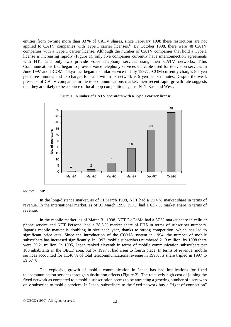entities from owning more than 33 % of CATV shares, since February 1998 these restrictions are not applied to CATV companies with Type 1 carrier licenses.<sup>17</sup> By October 1998, there were 48 CATV companies with a Type 1 carrier license. Although the number of CATV companies that hold a Type 1 license is increasing rapidly (Figure 1), only five companies currently have interconnection agreements with NTT and only two provide voice telephony services using their CATV networks. Titus Communications Inc. began to provide voice telephony services via cable used for television services in June 1997 and J-COM Tokyo Inc. began a similar service in July 1997. J-COM currently charges 8.5 yen per three minutes and its charges for calls within its network is 5 yen per 3 minutes. Despite the weak presence of CATV companies in the telecommunications market, their recent rapid growth rate suggests that they are likely to be a source of local loop competition against NTT East and West.





*Source*: MPT.

 In the long-distance market, as of 31 March 1998, NTT had a 59.4 % market share in terms of revenue. In the international market, as of 31 March 1998, KDD had a 63.7 % market share in terms of revenue.

 In the mobile market, as of March 31 1998, NTT DoCoMo had a 57 % market share in cellular phone service and NTT Personal had a 28.3 % market share of PHS in terms of subscriber numbers. Japan's mobile market is doubling in size each year, thanks to strong competition, which has led to significant price cuts. Since the introduction of the COMA system in 1994, the number of mobile subscribers has increased significantly. In 1993, mobile subscribers numbered 2.13 million; by 1998 there were 39.21 million. In 1995, Japan ranked eleventh in terms of mobile communication subscribers per 100 inhabitants in the OECD area, but by 1997 it had risen to fourth place. In terms of revenue, mobile services accounted for 11.46 % of total telecommunications revenue in 1993; its share tripled in 1997 to 39.67 %.

 The explosive growth of mobile communication in Japan has had implications for fixed telecommunication services through substitution effects (Figure 2). The relatively high cost of joining the fixed network as compared to a mobile subscription seems to be attracting a growing number of users who only subscribe to mobile services. In Japan, subscribers to the fixed network buy a "right of connection"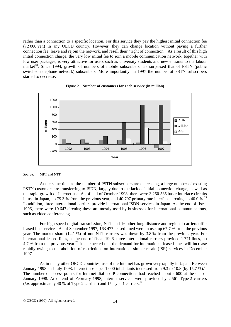rather than a connection to a specific location. For this service they pay the highest initial connection fee (72 000 yen) in any OECD country. However, they can change location without paying a further connection fee, leave and rejoin the network, and resell their "right of connection". As a result of this high initial connection charge, the very low initial fee to join a mobile communication network, together with low user packages, is very attractive for users such as university students and new entrants to the labour market<sup>18</sup>. Since 1994, growth of numbers of mobile subscribers has surpassed that of PSTN (public switched telephone network) subscribers. More importantly, in 1997 the number of PSTN subscribers started to decrease.





 At the same time as the number of PSTN subscribers are decreasing, a large number of existing PSTN customers are transferring to ISDN, largely due to the lack of initial connection charge, as well as the rapid growth of Internet use. As of end of October 1998, there were 3 250 535 basic interface circuits in use in Japan, up 79.3 % from the previous year, and 40 707 primary rate interface circuits, up 40.0 %.<sup>19</sup> In addition, three international carriers provide international ISDN services in Japan. As the end of fiscal 1996, there were 10 647 circuits; these are mostly used by businesses for international communications, such as video conferencing.

 For high-speed digital transmission, NTT and 16 other long-distance and regional carriers offer leased line services. As of September 1997, 163 477 leased lined were in use, up 67.7 % from the previous year. The market share (14.1 %) of non-NTT carriers was down by 3.8 % from the previous year. For international leased lines, at the end of fiscal 1996, three international carriers provided 1 771 lines, up 4.7 % from the previous year.<sup>20</sup> It is expected that the demand for international leased lines will increase rapidly owing to the abolition of restrictions on international simple resale (ISR) services in December 1997.

 As in many other OECD countries, use of the Internet has grown very rapidly in Japan. Between January 1998 and July 1998, Internet hosts per 1 000 inhabitants increased from 9.3 to 10.8 (by 15.7 %).<sup>21</sup> The number of access points for Internet dial-up IP connections had reached about 4 600 at the end of January 1998. At of end of February 1998, Internet services were provided by 2 561 Type 2 carriers (*i.e.* approximately 40 % of Type 2 carriers) and 15 Type 1 carriers.<sup>22</sup>

*Source:* MPT and NTT.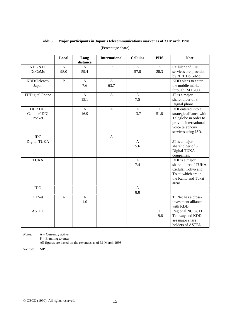|                  | Local          | Long<br>distance | <b>International</b> | <b>Cellular</b> | <b>PHS</b>   | <b>Note</b>                               |
|------------------|----------------|------------------|----------------------|-----------------|--------------|-------------------------------------------|
| NTT/NTT          | $\mathbf{A}$   | A                | $\mathbf{P}$         | $\mathbf{A}$    | $\mathbf{A}$ | Cellular and PHS                          |
| DoCoMo           | 98.0           | 59.4             |                      | 57.0            | 28.3         | services are provided                     |
|                  |                |                  |                      |                 |              | by NTT DoCoMo.                            |
| KDD/Teleway      | $\overline{P}$ | $\mathbf{A}$     | $\mathbf{A}$         |                 |              | KDD plans to enter                        |
| Japan            |                | 7.6              | 63.7                 |                 |              | the mobile market                         |
|                  |                |                  |                      |                 |              | through IMT 2000.                         |
| JT/Digital Phone |                | $\mathbf{A}$     | $\mathbf{A}$         | $\mathbf{A}$    |              | JT is a major                             |
|                  |                | 15.1             |                      | 7.5             |              | shareholder of 3                          |
|                  |                |                  |                      |                 |              | Digital phone.                            |
| DDI/DDI          |                | $\mathbf{A}$     | $\mathbf{A}$         | $\mathbf{A}$    | $\mathbf{A}$ | DDI entered into a                        |
| Cellular/DDI     |                | 16.9             |                      | 13.7            | 51.8         | strategic alliance with                   |
| Pocket           |                |                  |                      |                 |              | Teleglobe in order to                     |
|                  |                |                  |                      |                 |              | provide international                     |
|                  |                |                  |                      |                 |              | voice telephony                           |
|                  |                |                  |                      |                 |              | services using ISR.                       |
| IDC              |                |                  | $\mathbf{A}$         |                 |              |                                           |
| Digital TUKA     |                |                  |                      | $\mathsf{A}$    |              | JT is a major                             |
|                  |                |                  |                      | 5.6             |              | shareholder of 6                          |
|                  |                |                  |                      |                 |              | Digital TUKA                              |
|                  |                |                  |                      |                 |              | companies.                                |
| <b>TUKA</b>      |                |                  |                      | $\mathsf{A}$    |              | DDI is a major                            |
|                  |                |                  |                      | 7.4             |              | shareholder of TUKA                       |
|                  |                |                  |                      |                 |              | Cellular Tokyo and                        |
|                  |                |                  |                      |                 |              | Tokai which are in<br>the Kanto and Tokai |
|                  |                |                  |                      |                 |              |                                           |
| IDO              |                |                  |                      |                 |              | areas.                                    |
|                  |                |                  |                      | A<br>8.8        |              |                                           |
| <b>TTNet</b>     | $\overline{A}$ | $\mathbf{A}$     |                      |                 |              | TTNet has a cross-                        |
|                  |                | $1.0\,$          |                      |                 |              | investment alliance                       |
|                  |                |                  |                      |                 |              | with KDD.                                 |
| <b>ASTEL</b>     |                |                  |                      |                 | $\mathbf{A}$ | Regional NCCs, JT,                        |
|                  |                |                  |                      |                 | 19.8         | Teleway and KDD                           |
|                  |                |                  |                      |                 |              | are major share                           |
|                  |                |                  |                      |                 |              | holders of ASTEL                          |

# Table 3. **Major participants in Japan's telecommunications market as of 31 March 1998**

(Percentage share)

*Notes*: A = Currently active

 $P =$  Planning to enter.

All figures are based on the revenues as of 31 March 1998.

*Source*: MPT.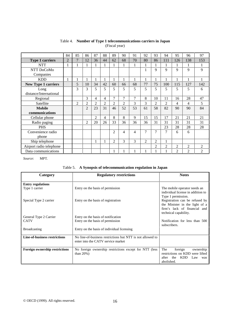|                            | 84             | 85             | 86             | 87             | 88             | 89             | 90             | 91 | 92             | 93             | 94             | 95             | 96             | 97             |
|----------------------------|----------------|----------------|----------------|----------------|----------------|----------------|----------------|----|----------------|----------------|----------------|----------------|----------------|----------------|
| <b>Type 1 carriers</b>     | $\overline{2}$ | 7              | 12             | 36             | 44             | 62             | 68             | 70 | 80             | 86             | 111            | 126            | 138            | 153            |
| <b>NTT</b>                 | 1              | 1              | 1              |                |                |                |                |    |                |                | 1              |                |                | 1              |
| NTT DoCoMo                 |                |                |                |                |                |                |                |    |                | 9              | 9              | 9              | 9              | 9              |
| Companies                  |                |                |                |                |                |                |                |    |                |                |                |                |                |                |
| <b>KDD</b>                 | 1              | 1              | 1              |                | 1              |                | 1              |    | 1              | 1              | 1              |                |                | $\mathbf{1}$   |
| <b>New Type 1 carriers</b> |                | 5              | 10             | 34             | 42             | 60             | 66             | 68 | 77             | 75             | 100            | 115            | 127            | 142            |
| Long                       |                | 3              | 3              | 5              | 5              | 5              | 5              | 5  | 5              | 5              | 5              | 5              | 5              | 6              |
| distance/International     |                |                |                |                |                |                |                |    |                |                |                |                |                |                |
| Regional                   |                |                | 3              | 4              | 4              | 7              | 7              | 7  | 8              | 10             | 11             | 16             | 28             | 47             |
| Satellite                  |                | $\overline{c}$ | $\overline{c}$ | 2              | $\overline{2}$ | $\mathfrak{D}$ | $\overline{2}$ | 3  | 3              | $\overline{2}$ | 2              | 4              | 4              | 5              |
| <b>Mobile</b>              |                |                | $\overline{2}$ | 23             | 31             | 46             | 52             | 53 | 61             | 58             | 82             | 90             | 90             | 84             |
| communications             |                |                |                |                |                |                |                |    |                |                |                |                |                |                |
| Cellular phone             |                |                |                | $\overline{2}$ | 4              | 8              | 8              | 9  | 15             | 15             | 17             | 21             | 21             | 21             |
| Radio paging               |                |                | 2              | 20             | 26             | 33             | 36             | 36 | 36             | 31             | 31             | 31             | 31             | 31             |
| <b>PHS</b>                 |                |                |                |                |                |                |                |    |                |                | 23             | 28             | 28             | 28             |
| Convenience radio          |                |                |                |                |                | $\mathfrak{D}$ | 4              | 4  | 7              | $\overline{7}$ | $\overline{7}$ | 6              | 6              |                |
| phone                      |                |                |                |                |                |                |                |    |                |                |                |                |                |                |
| Ship telephone             |                |                |                |                |                | 2              | 3              | 3  | $\overline{2}$ | 2              | 1              |                |                |                |
| Airport radio telephone    |                |                |                |                |                |                |                |    |                | $\overline{2}$ | $\overline{2}$ | $\overline{c}$ | 2              | 2              |
| Data communications        |                |                |                |                |                |                | 1              |    |                |                | 1              | 2              | $\overline{2}$ | $\overline{2}$ |

## Table 4. **Number of Type 1 telecommunications carriers in Japan**  (Fiscal year)

*Source*: MPT*.* 

|  |  | Table 5. A Synopsis of telecommunication regulation in Japan |  |  |
|--|--|--------------------------------------------------------------|--|--|
|--|--|--------------------------------------------------------------|--|--|

| Category                              | <b>Regulatory restrictions</b>                                                                   | <b>Notes</b>                                                                                                              |
|---------------------------------------|--------------------------------------------------------------------------------------------------|---------------------------------------------------------------------------------------------------------------------------|
| <b>Entry regulations</b>              |                                                                                                  |                                                                                                                           |
| Type 1 carrier                        | Entry on the basis of permission                                                                 | The mobile operator needs an<br>individual license in addition to<br>Type 1 permission.                                   |
| Special Type 2 carrier                | Entry on the basis of registration                                                               | Registration can be refused by<br>the Minister in the light of a<br>firm's lack of financial and<br>technical capability. |
| General Type 2 Carrier                | Entry on the basis of notification                                                               |                                                                                                                           |
| <b>CATV</b>                           | Entry on the basis of permission                                                                 | Notification for less than 500<br>subscribers.                                                                            |
| <b>Broadcasting</b>                   | Entry on the basis of individual licensing                                                       |                                                                                                                           |
| <b>Line-of-business restrictions</b>  | No line-of-business restrictions but NTT is not allowed to<br>enter into the CATV service market |                                                                                                                           |
| <b>Foreign ownership restrictions</b> | No foreign ownership restrictions except for NTT (less<br>than $20\%$ )                          | The<br>foreign<br>ownership<br>restrictions on KDD were lifted<br>KDD<br>after the<br>Law<br>was<br>abolished.            |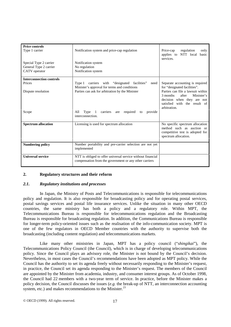| <b>Price controls</b>                                             |                                                                                                                       |                                                                                                                                                    |
|-------------------------------------------------------------------|-----------------------------------------------------------------------------------------------------------------------|----------------------------------------------------------------------------------------------------------------------------------------------------|
| Type 1 carrier                                                    | Notification system and price-cap regulation                                                                          | regulation<br>Price-cap<br>only<br>applies to NTT local<br>basic                                                                                   |
| Special Type 2 carrier<br>General Type 2 carrier<br>CATV operator | Notification system<br>No regulation<br>Notification system                                                           | services.                                                                                                                                          |
| <b>Interconnection controls</b>                                   |                                                                                                                       |                                                                                                                                                    |
| Prices                                                            | Type 1 carriers with "designated facilities"<br>need                                                                  | Separate accounting is required                                                                                                                    |
|                                                                   | Minister's approval for terms and conditions                                                                          | for "designated facilities".                                                                                                                       |
| Dispute resolution                                                | Parties can ask for arbitration by the Minister                                                                       | Parties can file a lawsuit within<br>3 months<br>after<br>Minister's<br>decision when they are not<br>satisfied with the result of<br>arbitration. |
| Scope                                                             | required<br>All<br>Type<br>carriers<br>$\overline{1}$<br>provide<br>are<br>to<br>interconnection.                     |                                                                                                                                                    |
| <b>Spectrum allocation</b>                                        | Licensing is used for spectrum allocation                                                                             | No specific spectrum allocation<br>method such as auction or<br>competitive test is adopted for<br>spectrum allocation.                            |
| <b>Numbering policy</b>                                           | Number portability and pre-carrier selection are not yet<br>implemented                                               |                                                                                                                                                    |
| <b>Universal service</b>                                          | NTT is obliged to offer universal service without financial<br>compensation from the government or any other carriers |                                                                                                                                                    |

## **2. Regulatory structures and their reform**

## *2.1. Regulatory institutions and processes*

 In Japan, the Ministry of Posts and Telecommunications is responsible for telecommunications policy and regulation. It is also responsible for broadcasting policy and for operating postal services, postal savings services and postal life insurance services. Unlike the situation in many other OECD countries, the same ministry has both a policy and a regulatory role. Within MPT, the Telecommunications Bureau is responsible for telecommunications regulation and the Broadcasting Bureau is responsible for broadcasting regulation. In addition, the Communications Bureau is responsible for longer-term policy-oriented issues such as the realisation of the info-communication society. MPT is one of the few regulators in OECD Member countries with the authority to supervise both the broadcasting (including content regulation) and telecommunications markets.

 Like many other ministries in Japan, MPT has a policy council ("*shingikai*"), the Telecommunications Policy Council (the Council), which is in charge of developing telecommunications policy. Since the Council plays an advisory role, the Minister is not bound by the Council's decision. Nevertheless, in most cases the Council's recommendations have been adopted as MPT policy. While the Council has the authority to set its agenda freely without necessarily responding to the Minister's request, in practice, the Council set its agenda responding to the Minister's request. The members of the Council are appointed by the Minister from academia, industry, and consumer interest groups. As of October 1998, the Council had 22 members with a two-year term of service. In practice, before the Minister makes a policy decision, the Council discusses the issues (*e.g.* the break-up of NTT, an interconnection accounting system, etc.) and makes recommendations to the Minister.<sup>23</sup>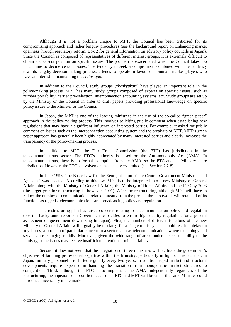Although it is not a problem unique to MPT, the Council has been criticised for its compromising approach and rather lengthy procedures (see the background report on Enhancing market openness through regulatory reform, Box 2 for general information on advisory policy councils in Japan). Since the Council is composed of representatives of different interest groups, it is extremely difficult to obtain a clear-cut position on specific issues. The problem is exacerbated when the Council takes too much time to decide certain issues. The tendency to seek a compromise, combined with the tendency towards lengthy decision-making processes, tends to operate in favour of dominant market players who have an interest in maintaining the *status quo*.

 In addition to the Council, study groups ("*kenkyukai*") have played an important role in the policy-making process. MPT has many study groups composed of experts on specific issues, such as number portability, carrier pre-selection, interconnection accounting systems, etc. Study groups are set up by the Ministry or the Council in order to draft papers providing professional knowledge on specific policy issues to the Minister or the Council.

 In Japan, the MPT is one of the leading ministries in the use of the so-called "green paper" approach in the policy-making process. This involves soliciting public comment when establishing new regulations that may have a significant influence on interested parties. For example, it asked for public comment on issues such as the interconnection accounting system and the break-up of NTT. MPT's green paper approach has generally been highly appreciated by many interested parties and clearly increases the transparency of the policy-making process.

 In addition to MPT, the Fair Trade Commission (the FTC) has jurisdiction in the telecommunications sector. The FTC's authority is based on the Anti-monopoly Act (AMA). In telecommunications, there is no formal exemption from the AMA, so the FTC and the Ministry share jurisdiction. However, the FTC's involvement has been very limited (see Section 2.2.8).

 In June 1998, 'the Basic Law for the Reorganisation of the Central Government Ministries and Agencies' was enacted. According to this law, MPT is to be integrated into a new Ministry of General Affairs along with the Ministry of General Affairs, the Ministry of Home Affairs and the FTC by 2003 (the target year for restructuring is, however, 2001). After the restructuring, although MPT will have to reduce the number of communications-related bureaux from the present three to two, it will retain all of its functions as regards telecommunications and broadcasting policy and regulation.

 The restructuring plan has raised concerns relating to telecommunication policy and regulation (see the background report on Government capacities to ensure high quality regulation, for a general assessment of government downsizing in Japan). First, the number of different functions of the new Ministry of General Affairs will arguably be too large for a single ministry. This could result in delay on key issues, a problem of particular concern in a sector such as telecommunications where technology and services are changing rapidly. Moreover, given the wide range of areas under the responsibility of the ministry, some issues may receive insufficient attention at ministerial level.

 Second, it does not seem that the integration of three ministries will facilitate the government's objective of building professional expertise within the Ministry, particularly in light of the fact that, in Japan, ministry personnel are shifted regularly every two years. In addition, rapid market and structural developments require expertise in handling the transition from monopolistic market structures to competition. Third, although the FTC is to implement the AMA independently regardless of the restructuring, the appearance of conflict because the FTC and MPT will be under the same Minister could introduce uncertainty in the market.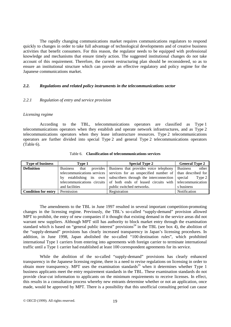The rapidly changing communications market requires communications regulators to respond quickly to changes in order to take full advantage of technological developments and of creative business activities that benefit consumers. For this reason, the regulator needs to be equipped with professional knowledge and mechanisms that ensure timely action. The suggested institutional changes do not take account of this requirement. Therefore, the current restructuring plan should be reconsidered, so as to ensure an institutional structure which can provide an effective regulatory and policy regime for the Japanese communications market.

## *2.2. Regulations and related policy instruments in the telecommunications sector*

## *2.2.1 Regulation of entry and service provision*

## *Licensing regime*

 According to the TBL, telecommunications operators are classified as Type 1 telecommunications operators when they establish and operate network infrastructures, and as Type 2 telecommunications operators when they lease infrastructure resources. Type 2 telecommunications operators are further divided into special Type 2 and general Type 2 telecommunications operators (Table 6).

| <b>Type of business</b>    | Type 1                  | <b>Special Type 2</b>                                                                | <b>General Type 2</b>    |
|----------------------------|-------------------------|--------------------------------------------------------------------------------------|--------------------------|
| <b>Definition</b>          | that<br><b>Business</b> | provides   Business that provides voice telephony                                    | other<br><b>Business</b> |
|                            |                         | telecommunications services services for an unspecified number of than described for |                          |
|                            | by                      | establishing its own subscribers through the interconnection special                 | Type 2                   |
|                            |                         | telecommunications circuits of both ends of leased circuits with telecommunication   |                          |
|                            | and facilities          | public switched networks.                                                            | s business               |
| <b>Condition for entry</b> | Permission              | Registration                                                                         | Notification             |

Table 6. **Classification of telecommunications services**

 The amendments to the TBL in June 1997 resulted in several important competition-promoting changes in the licensing regime. Previously, the TBL's so-called "supply-demand" provision allowed MPT to prohibit, the entry of new companies if it thought that existing demand in the service areas did not warrant new suppliers. Although MPT still has authority to block market entry through the examination standard which is based on "general public interest" provisions<sup>24</sup> in the TBL (see box 4), the abolition of the "supply-demand" provisions has clearly increased transparency in Japan's licensing procedures. In addition, in June 1998, Japan abolished the so-called "100 destination rules", which prohibited international Type 1 carriers from entering into agreements with foreign carrier to terminate international traffic until a Type 1 carrier had established at least 100 correspondent agreements for its service.

 While the abolition of the so-called "supply-demand" provisions has clearly enhanced transparency in the Japanese licensing regime, there is a need to revise regulations on licensing in order to obtain more transparency. MPT uses the examination standards<sup>25</sup> when it determines whether Type 1 business applicants meet the entry requirement standards in the TBL. These examination standards do not provide clear-cut information to applicants on the minimum requirements to receive licenses. In effect, this results in a consultation process whereby new entrants determine whether or not an application, once made, would be approved by MPT. There is a possibility that this unofficial consulting period can cause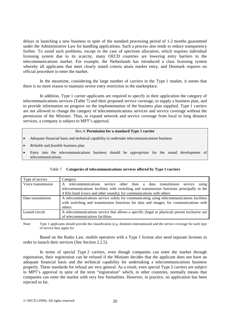delays in launching a new business in spite of the standard processing period of 1-2 months guaranteed under the Administrative Law for handling applications. Such a process also tends to reduce transparency further. To avoid such problems, except in the case of spectrum allocation, which requires individual licensing system due to its scarcity, many OECD countries are lowering entry barriers to the telecommunications market. For example, the Netherlands has introduced a class licensing system whereby all applicants that meet clearly stated criteria attain market entry, and Denmark requires no official procedure to enter the market.

 In the meantime, considering the large number of carriers in the Type 1 market, it seems that there is no more reason to maintain severe entry restriction in the marketplace.

 In addition, Type 1 carrier applicants are required to specify in their application the category of telecommunications services (Table 7) and their proposed service coverage, to supply a business plan, and to provide information on progress on the implementation of the business plan supplied. Type 1 carriers are not allowed to change the category of telecommunications services and service coverage without the permission of the Minister. Thus, to expand network and service coverage from local to long distance services, a company is subject to MPT's approval.

#### Box 4. **Permission for a standard Type 1 carrier**

- $\bullet$ *Adequate* financial basis and technical capability to undertake telecommunications business
- -*Reliable* and *feasible* business plan
- $\bullet$  Entry into the telecommunications business should be *appropriate* for the sound development of telecommunications

| Type of service    | Category                                                                                     |  |  |  |  |  |  |  |
|--------------------|----------------------------------------------------------------------------------------------|--|--|--|--|--|--|--|
| Voice transmission | using<br>telecommunications service other than a data transmission service<br>A              |  |  |  |  |  |  |  |
|                    | telecommunications facilities with switching and transmission functions principally in the   |  |  |  |  |  |  |  |
|                    | 4 Khz band (voice and other sounds); for communications with others                          |  |  |  |  |  |  |  |
| Data transmission  | A telecommunications service solely for communicating using telecommunications facilities    |  |  |  |  |  |  |  |
|                    | with switching and transmission functions for data and images; for communications with       |  |  |  |  |  |  |  |
|                    | others                                                                                       |  |  |  |  |  |  |  |
| Leased circuit     | A telecommunications service that allows a specific (legal or physical) person exclusive use |  |  |  |  |  |  |  |
|                    | of telecommunications facilities                                                             |  |  |  |  |  |  |  |

Table 7. **Categories of telecommunications services offered by Type 1 carriers**

Note: Type 1 applicants should provide the classification (*e.g.* domestic/international) and the service coverage for each type of service they apply for.

 Based on the Radio Law, mobile operators with a Type 1 license also need separate licenses in order to launch their services (See Section 2.2.5).

 In terms of special Type 2 carriers, even though companies can enter the market through registration, their registration can be refused if the Minister decides that the applicant does not have an adequate financial basis and the technical capability for undertaking a telecommunications business properly. These standards for refusal are very general. As a result, even special Type 2 carriers are subject to MPT's approval in spite of the term "registration" which, in other countries, normally means that companies can enter the market with very few formalities. However, in practice, no application has been rejected so far.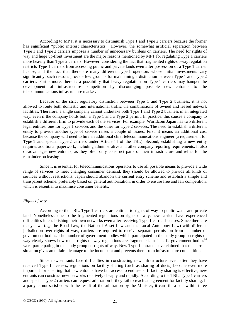According to MPT, it is necessary to distinguish Type 1 and Type 2 carriers because the former has significant "public interest characteristics". However, the somewhat artificial separation between Type 1 and Type 2 carriers imposes a number of unnecessary burdens on carriers. The need for rights of way and huge up-front investment are the major reasons mentioned by MPT for regulating Type 1 carriers more heavily than Type 2 carriers. However, considering the fact that fragmented rights-of-way regulation restricts Type 1 carriers from accessing public and private lands even after possession of a Type 1 carrier license, and the fact that there are many different Type 1 operators whose initial investments vary significantly, such reasons provide few grounds for maintaining a distinction between Type 1 and Type 2 carriers. Furthermore, there is a possibility that heavy regulation on Type 1 carriers may hamper the development of infrastructure competition by discouraging possible new entrants to the telecommunications infrastructure market.

 Because of the strict regulatory distinction between Type 1 and Type 2 business, it is not allowed to route both domestic and international traffic via combinations of owned and leased network facilities. Therefore, a single company cannot undertake both Type 1 and Type 2 business in an integrated way, even if the company holds both a Type 1 and a Type 2 permit. In practice, this causes a company to establish a different firm to provide each of the services. For example, Worldcom Japan has two different legal entities, one for Type 1 services and the other for Type 2 services. The need to establish a different entity to provide another type of service raises a couple of issues. First, it means an additional cost because the company will need to hire an additional chief telecommunications engineer (a requirement for Type 1 and special Type 2 carriers under Article 44 of the TBL). Second, establishing a new entity requires additional paperwork, including administrative and other company reporting requirements. It also disadvantages new entrants, as they often only construct parts of their infrastructure and relies for the remainder on leasing.

 Since it is essential for telecommunications operators to use all possible means to provide a wide range of services to meet changing consumer demand, they should be allowed to provide all kinds of services without restrictions. Japan should abandon the current entry scheme and establish a simple and transparent scheme, preferably based on general authorisation, in order to ensure free and fair competition, which is essential to maximise consumer benefits.

#### *Rights of way*

 According to the TBL, Type 1 carriers are entitled to rights of way to public water and private land. Nonetheless, due to the fragmented regulations on rights of way, new carriers have experienced difficulties in establishing their own networks even after receiving Type 1 carrier licenses. Since there are many laws (*e.g.* the Road Law, the National Asset Law and the Local Autonomy Law) with different jurisdiction over rights of way, carriers are required to receive separate permission from a number of government bodies. The number of government bodies which participated in the study group on rights of way clearly shows how much rights of way regulations are fragmented. In fact, 12 government bodies<sup>26</sup> were participating in the study group on rights of way. New Type 1 entrants have claimed that the current situation gives an unfair advantage to the incumbent and prevents them from infrastructure competition.

 Since new entrants face difficulties in constructing new infrastructure, even after they have received Type 1 licenses, regulations on facility sharing (such as sharing of ducts) become even more important for ensuring that new entrants have fair access to end users. If facility sharing is effective, new entrants can construct new networks relatively cheaply and rapidly. According to the TBL, Type 1 carriers and special Type 2 carriers can request arbitration if they fail to reach an agreement for facility sharing. If a party is not satisfied with the result of the arbitration by the Minister, it can file a suit within three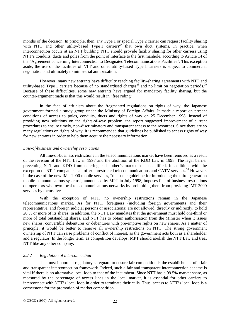months of the decision. In principle, then, any Type 1 or special Type 2 carrier can request facility sharing with NTT and other utility-based Type 1 carriers<sup>27</sup> that own duct systems. In practice, when interconnection occurs at an NTT building, NTT should provide facility sharing for other carriers using NTT's conduits, ducts and poles from the point of interface to the first manhole, according to Article 14 of the "Agreement concerning Interconnection to Designated Telecommunications Facilities". This exception aside, the use of the facilities of NTT and other utility-based Type 1 carriers is subject to commercial negotiation and ultimately to ministerial authorisation.

 However, many new entrants have difficulty reaching facility-sharing agreements with NTT and utility-based Type 1 carriers because of no standardised charges<sup>28</sup> and no limit on negotiation periods.<sup>29</sup> Because of these difficulties, some new entrants have argued for mandatory facility sharing, but the counter-argument made is that this would result in "free riding".

 In the face of criticism about the fragmented regulations on rights of way, the Japanese government formed a study group under the Ministry of Foreign Affairs. It made a report on present conditions of access to poles, conduits, ducts and rights of way on 25 December 1998. Instead of providing new solutions on the rights-of-way problem, the report suggested improvement of current procedures to ensure timely, non-discriminatory and transparent access to the resources. Since there are so many regulations on rights of way, it is recommended that guidelines be published to access rights of way for new entrants in order to help them acquire the necessary information.

## *Line-of-business and ownership restrictions*

 All line-of-business restrictions in the telecommunications market have been removed as a result of the revision of the NTT Law in 1997 and the abolition of the KDD Law in 1998. The legal barrier preventing NTT and KDD from entering each other's market has been lifted. In addition, with the exception of NTT, companies can offer unrestricted telecommunications and CATV services.<sup>30</sup> However, in the case of the new IMT 2000 mobile services, "the basic guideline for introducing the third generation mobile communications systems", announced by MPT in July 1998, imposes line-of-business restrictions on operators who own local telecommunications networks by prohibiting them from providing IMT 2000 services by themselves.

 With the exception of NTT, no ownership restrictions remain in the Japanese telecommunications market. As for NTT, foreigners (including foreign governments and their representative, and foreign judicial persons or associations) are not allowed, directly or indirectly, to hold 20 % or more of its shares. In addition, the NTT Law mandates that the government must hold one-third or more of total outstanding shares, and NTT has to obtain authorisation from the Minister when it issues new shares, convertible debentures or debentures with pre-emptive rights on new shares. As a matter of principle, it would be better to remove all ownership restrictions on NTT. The strong government ownership of NTT can raise problems of conflict of interest, as the government acts both as a shareholder and a regulator. In the longer term, as competition develops, MPT should abolish the NTT Law and treat NTT like any other company.

## *2.2.2 Regulation of interconnection*

 The most important regulatory safeguard to ensure fair competition is the establishment of a fair and transparent interconnection framework. Indeed, such a fair and transparent interconnection scheme is vital if there is no alternative local loop to that of the incumbent. Since NTT has a 99.5% market share, as measured by the percentage of access lines in the local market, it is essential for other carriers to interconnect with NTT's local loop in order to terminate their calls. Thus, access to NTT's local loop is a cornerstone for the promotion of market competition.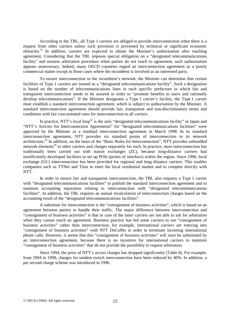According to the TBL, all Type 1 carriers are obliged to provide interconnection when there is a request from other carriers unless such provision is prevented by technical or significant economic obstacles.31 In addition, carriers are expected to obtain the Minister's authorisation after reaching agreement. Considering that the TBL imposes special obligation on a "designated telecommunications facility" and ensures arbitration procedure when parties do not reach to agreement, such authorisation appears unnecessary. Indeed, many OECD countries regard an interconnection agreement as a purely commercial matter except in those cases where the incumbent is involved as an interested party.

 To ensure interconnection to the incumbent's network, the Minister can determine that certain facilities of Type 1 carriers are treated as a "designated telecommunications facility". Such a designation is based on the number of telecommunications lines in each specific prefecture in which fair and transparent interconnection needs to be assured in order to "promote benefits to users and rationally develop telecommunications". If the Minister designates a Type 1 carrier's facility, the Type 1 carrier must establish a standard interconnection agreement, which is subject to authorisation by the Minister. A standard interconnection agreement should provide fair, transparent and non-discriminatory terms and conditions with fair cost-oriented rates for interconnection to all carriers.

In practice, NTT's local loop<sup>32</sup> is the only "designated telecommunications facility" in Japan and "NTT's Articles for Interconnection Agreements" for "designated telecommunications facilities" were approved by the Minister as a standard interconnection agreement in March 1998. In its standard interconnection agreement, NTT provides six standard points of interconnection in its network architecture.33 In addition, on the basis of the "Basic Rules for Interconnection", NTT provides unbundled network elements<sup>34</sup> to other carriers and charges separately for each. In practice, most interconnection has traditionally been carried out with transit exchanges (ZC), because long-distance carriers had insufficiently developed facilities to set up POIs (points of interface) within the region. Since 1996, local exchange (GC) interconnection has been provided for regional and long distance carriers. This enables companies such as TTNet and Titus to enter the local residential market and to compete directly with NTT.

 In order to ensure fair and transparent interconnection, the TBL also requires a Type 1 carrier with "designated telecommunications facilities" to publish the standard interconnection agreement and to maintain accounting separation relating to interconnection with "designated telecommunications facilities". In addition, the TBL requires an annual recalculation of interconnection charges based on the accounting result of the "designated telecommunications facilities".

 A substitute for interconnection is the "consignment of business activities", which is based on an agreement between parties to handle their traffic. The major difference between interconnection and "consignment of business activities" is that in case of the latter carriers are not able to ask for arbitration when they cannot reach an agreement. Business practice has led some carriers to use "consignment of business activities" rather than interconnection; for example, international carriers are entering into "consignment of business activities" with NTT DoCoMo in order to terminate incoming international phone calls. However, it seems that this "consignment of business activities" will soon be substituted by an interconnection agreement, because there is no incentive for international carriers to maintain "consignment of business activities" that do not provide the possibility to request arbitration.

 Since 1994, the price of NTT's access charges has dropped significantly (Table 8). For example, from 1994 to 1998, charges for tandem switch interconnection have been reduced by 40%. In addition, a per second charge scheme was introduced in 1996.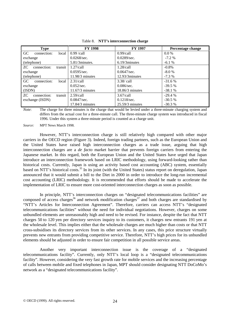| Type                     | <b>FY 1998</b> |                   | <b>FY 1997</b>    | Percentage change |
|--------------------------|----------------|-------------------|-------------------|-------------------|
| GC.<br>connection:       | local          | $0.99$ /call      | $0.99$ /call      | $0.0\%$           |
| exchange                 |                | 0.0268/sec.       | 0.0289/sec.       | $-7.2%$           |
| (telephone)              |                | 5.81/3minutes.    | $6.19/3$ minutes  | $-6.1%$           |
| ZC<br>connection:        | transit        | $1.27$ /call      | $1.28$ /call      | $-0.8\%$          |
| exchange                 |                | 0.0595/sec.       | 0.0647/sec.       | $-8.0%$           |
| (telephone)              |                | $11.98/3$ minutes | 12.93/3minutes    | $-7.3\%$          |
| GC<br>connection:        | local          | $2.31$ /call      | 3.38/call         | $-31.6%$          |
| exchange                 |                | 0.052/sec.        | 0.086/sec.        | $-39.5%$          |
| (ISDN)                   |                | $11.67/3$ minutes | $18.86/3$ minutes | $-38.1%$          |
| <b>ZC</b><br>connection: | transit        | $2.59$ /call      | $3.67$ /call      | $-29.4%$          |
| exchange (ISDN)          |                | 0.0847/sec.       | 0.1218/sec.       | $-30.5%$          |
|                          |                | $17.84/3$ minutes | $25.59/3$ minutes | $-30.3%$          |

Table 8. **NTT's interconnection charge**

*Note*: The charge for three minutes is the charge that would be levied under a three-minute charging system and differs from the actual cost for a three-minute call. The three-minute charge system was introduced in fiscal 1996. Under this system a three-minute period is counted as a charge unit.

*Source:* MPT News March 1998*.* 

 However, NTT's interconnection charge is still relatively high compared with other major carriers in the OECD region (Figure 3). Indeed, foreign trading partners, such as the European Union and the United States have raised high interconnection charges as a trade issue, arguing that high interconnection charges are a *de facto* market barrier that prevents foreign carriers from entering the Japanese market. In this regard, both the European Union and the United States have urged that Japan introduce an interconnection framework based on LRIC methodology, using forward-looking rather than historical costs. Currently, Japan is using an activity based cost accounting (ABC) system, essentially based on NTT's historical costs.35 In its joint (with the United States) status report on deregulation, Japan announced that it would submit a bill to the Diet in 2000 in order to introduce the long-run incremental cost accounting (LRIC) methodology. It is recommended that efforts should be made to accelerate the implementation of LRIC to ensure more cost-oriented interconnection charges as soon as possible.

 In principle, NTT's interconnection charges on "designated telecommunications facilities" are composed of access charges<sup>36</sup> and network modification charges<sup>37</sup> and both charges are standardised by "NTT's Articles for Interconnection Agreement". Therefore, carriers can access NTT's "designated telecommunications facilities" without the need for individual negotiations. However, charges on some unbundled elements are unreasonably high and need to be revised. For instance, despite the fact that NTT charges 50 to 120 yen per directory services inquiry to its customers, it charges new entrants 191 yen at the wholesale level. This implies either that the wholesale charges are much higher than costs or that NTT cross-subsidises its directory services from its other services. In any cases, this price structure virtually prevents new entrants from providing competitive service. Therefore, NTT's high prices for its unbundled elements should be adjusted in order to ensure fair competition in all possible service areas.

 Another very important interconnection issue is the coverage of a "designated telecommunications facility". Currently, only NTT's local loop is a "designated telecommunications facility". However, considering the very fast growth rate for mobile services and the increasing percentage of calls between mobile and fixed telephones in Japan, MPT should consider designating NTT DoCoMo's network as a "designated telecommunications facility".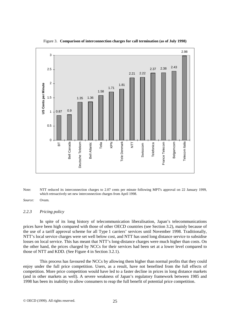

Figure 3. **Comparison of interconnection charges for call termination (as of July 1998)** 



*Source:* Ovum*.* 

## *2.2.3 Pricing policy*

 In spite of its long history of telecommunication liberalisation, Japan's telecommunications prices have been high compared with those of other OECD countries (see Section 3.2), mainly because of the use of a tariff approval scheme for all Type 1 carriers' services until November 1998. Traditionally, NTT's local service charges were set well below cost, and NTT has used long distance service to subsidise losses on local service. This has meant that NTT's long-distance charges were much higher than costs. On the other hand, the prices charged by NCCs for their services had been set at a lower level compared to those of NTT and KDD. (See Figure 4 in Section 3.2.1).

 This process has favoured the NCCs by allowing them higher than normal profits that they could enjoy under the full price competition. Users, as a result, have not benefited from the full effects of competition. More price competition would have led to a faster decline in prices in long distance markets (and in other markets as well). A severe weakness of Japan's regulatory framework between 1985 and 1998 has been its inability to allow consumers to reap the full benefit of potential price competition.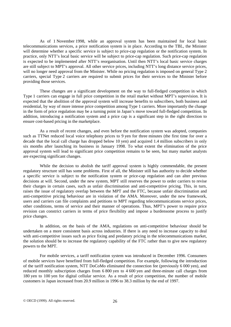As of 1 November 1998, while an approval system has been maintained for local basic telecommunications services, a price notification system is in place. According to the TBL, the Minister will determine whether a specific service is subject to price-cap regulation or the notification system. In practice, only NTT's local basic service will be subject to price-cap regulation. Such price-cap regulation is expected to be implemented after NTT's reorganisation. Until then NTT's local basic service charges are still subject to MPT's approval. All other service prices, including NTT's long distance service prices, will no longer need approval from the Minister. While no pricing regulation is imposed on general Type 2 carriers, special Type 2 carriers are required to submit prices for their services to the Minister before providing those services.

 These changes are a significant development on the way to full-fledged competition in which Type 1 carriers can engage in full price competition in the retail market without MPT's supervision. It is expected that the abolition of the approval system will increase benefits to subscribers, both business and residential, by way of more intense price competition among Type 1 carriers. More importantly the change in the form of price regulation may be a turning point in Japan's move toward full-fledged competition. In addition, introducing a notification system and a price cap is a significant step in the right direction to ensure cost-based pricing in the marketplace.

 As a result of recent changes, and even before the notification system was adopted, companies such as TTNet reduced local voice telephony prices to 9 yen for three minutes (the first time for over a decade that the local call charge has dropped below 10 yen) and acquired 1.4 million subscribers in only six months after launching its business in January 1998. To what extent the elimination of the price approval system will lead to significant price competition remains to be seen, but many market analysts are expecting significant changes.

 While the decision to abolish the tariff approval system is highly commendable, the present regulatory structure still has some problems. First of all, the Minister still has authority to decide whether a specific service is subject to the notification system or price-cap regulation and can alter previous decisions at will. Second, under the new system, MPT still reserves the power to order carriers to revise their charges in certain cases, such as unfair discrimination and anti-competitive pricing. This, in turn, raises the issue of regulatory overlap between the MPT and the FTC, because unfair discrimination and anti-competitive pricing behaviour are in violation of the AMA. Moreover, under the new framework, users and carriers can file complaints and petitions to MPT regarding telecommunications service prices, other conditions, terms of service and their manner of operations. Thus, MPT's power to require price revision can constrict carriers in terms of price flexibility and impose a burdensome process to justify price changes.

 In addition, on the basis of the AMA, regulations on anti-competitive behaviour should be undertaken on a more consistent basis across industries. If there is any need to increase capacity to deal with anti-competitive issues such as price fixing and predatory pricing in the telecommunications market, the solution should be to increase the regulatory capability of the FTC rather than to give new regulatory powers to the MPT.

 For mobile services, a tariff notification system was introduced in December 1996. Consumers of mobile services have benefited from full-fledged competition. For example, following the introduction of the tariff notification system, NTT DoCoMo eliminated the connection fee (previously 6 000 yen), and reduced monthly subscription charges from 6 800 yen to 4 600 yen and three-minute call charges from 180 yen to 100 yen for digital cellular service. As a result of price competition, the number of mobile customers in Japan increased from 20.9 million in 1996 to 38.3 million by the end of 1997.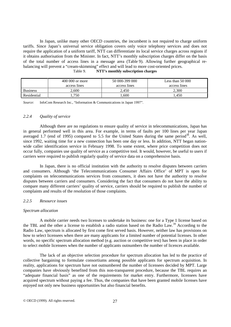In Japan, unlike many other OECD countries, the incumbent is not required to charge uniform tariffs. Since Japan's universal service obligation covers only voice telephony services and does not require the application of a uniform tariff, NTT can differentiate its local service charges across regions if it obtains authorisation from the Minister. In fact, NTT's monthly subscription charges differ on the basis of the total number of access lines in a message area (Table 9). Allowing further geographical rebalancing will prevent a "cream-skimming" effect and will lead to more cost-oriented prices. Table 9. **NTT's monthly subscription charges**

|                 | 400 000 or more | 50 000-399 000 | Less than $50000$ |
|-----------------|-----------------|----------------|-------------------|
|                 | access lines    | access lines   | access lines      |
| <b>Business</b> | 2.600           | 2,450          | 2.300             |
| Residential     | 750             | .600           | .450              |

*Source*: InfoCom Research Inc., "Information & Communications in Japan 1997".

## *2.2.4 Quality of service*

 Although there are no regulations to ensure quality of service in telecommunications, Japan has in general performed well in this area. For example, in terms of faults per 100 lines per year Japan averaged 1.7 (end of 1995) compared to 5.5 for the United States during the same period<sup>38</sup>. As well, since 1992, waiting time for a new connection has been one day or less. In addition, NTT began nationwide caller identification service in February 1998. To some extent, where price competition does not occur fully, companies use quality of service as a competitive tool. It would, however, be useful to users if carriers were required to publish regularly quality of service data on a comprehensive basis.

 In Japan, there is no official institution with the authority to resolve disputes between carriers and consumers. Although 'the Telecommunications Consumer Affairs Office' of MPT is open for complaints on telecommunications services from consumers, it does not have the authority to resolve disputes between carriers and consumers. Considering the fact that consumers do not have the ability to compare many different carriers' quality of service, carriers should be required to publish the number of complaints and results of the resolution of those complaints.

#### *2.2.5 Resource issues*

#### *Spectrum allocation*

 A mobile carrier needs two licenses to undertake its business: one for a Type 1 license based on the TBL and the other a license to establish a radio station based on the Radio Law.39 According to the Radio Law, spectrum is allocated by first come first served basis. However, neither law has provisions on how to select licensees when there are many applicants for a limited number of potential licenses. In other words, no specific spectrum allocation method (e.g. auction or competitive test) has been in place in order to select mobile licensees when the number of applicants outnumbers the number of licences available.

 The lack of an objective selection procedure for spectrum allocation has led to the practice of collective bargaining to formulate consortiums among possible applicants for spectrum acquisition. In reality, applications for spectrum have not outnumbered the number of licensees decided by MPT. Large companies have obviously benefited from this non-transparent procedure, because the TBL requires an "adequate financial basis" as one of the requirements for market entry. Furthermore, licensees have acquired spectrum without paying a fee. Thus, the companies that have been granted mobile licenses have enjoyed not only new business opportunities but also financial benefits.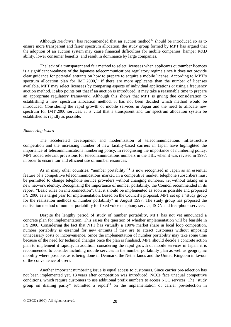Although *Keidanren* has recommended that an auction method<sup>40</sup> should be introduced so as to ensure more transparent and fairer spectrum allocation, the study group formed by MPT has argued that the adoption of an auction system may cause financial difficulties for mobile companies, hamper R&D ability, lower consumer benefits, and result in dominance by large companies.

 The lack of a transparent and fair method to select licensees when applicants outnumber licences is a significant weakness of the Japanese telecommunications regulatory regime since it does not provide clear guidance for potential entrants on how to prepare to acquire a mobile license. According to MPT's spectrum allocation plan for IMT  $2000$ ,<sup>41</sup> if there are more applicants than the number of licenses available, MPT may select licensees by comparing aspects of individual applications or using a frequency auction method. It also points out that if an auction is introduced, it may take a reasonable time to prepare an appropriate regulatory framework. Although this shows that MPT is giving due consideration to establishing a new spectrum allocation method, it has not been decided which method would be introduced. Considering the rapid growth of mobile services in Japan and the need to allocate new spectrum for IMT 2000 services, it is vital that a transparent and fair spectrum allocation system be established as rapidly as possible.

## *Numbering issues*

 The accelerated development and modernisation of telecommunications infrastructure competition and the increasing number of new facility-based carriers in Japan have highlighted the importance of telecommunications numbering policy. In recognising the importance of numbering policy, MPT added relevant provisions for telecommunications numbers in the TBL when it was revised in 1997, in order to ensure fair and efficient use of number resources.

As in many other countries, "number portability"<sup>42</sup> is now recognised in Japan as an essential feature of a competitive telecommunications market. In a competitive market, telephone subscribers must be permitted to change telephone service providers without changing numbers, *i.e*. without taking on a new network identity. Recognising the importance of number portability, the Council recommended in its report, "Basic rules on interconnection", that it should be implemented as soon as possible and proposed FY 2000 as a target year for implementation. Based on the Council's proposal, MPT set up a "study group for the realisation methods of number portability" in August 1997. The study group has proposed the realisation method of number portability for fixed voice telephony service, ISDN and free-phone services.

 Despite the lengthy period of study of number portability, MPT has not yet announced a concrete plan for implementation. This raises the question of whether implementation will be feasible in FY 2000. Considering the fact that NTT has virtually a 100% market share in local loop competition, number portability is essential for new entrants if they are to attract customers without imposing unnecessary costs or inconvenience. Since the implementation of number portability may take some time because of the need for technical changes once the plan is finalised, MPT should decide a concrete action plan to implement it rapidly. In addition, considering the rapid growth of mobile services in Japan, it is recommended to consider including mobile services in the number portability plan as well as geographic mobility where possible, as is being done in Denmark, the Netherlands and the United Kingdom in favour of the convenience of users.

 Another important numbering issue is equal access to customers. Since carrier pre-selection has not been implemented yet, 13 years after competition was introduced, NCCs face unequal competitive conditions, which require customers to use additional prefix numbers to access NCC services. The "study group on dialling parity" submitted a report<sup>43</sup> on the implementation of carrier pre-selection in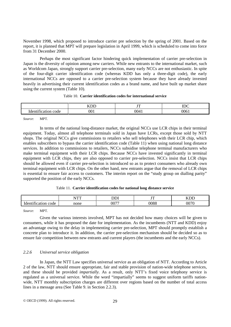November 1998, which proposed to introduce carrier pre selection by the spring of 2001. Based on the report, it is planned that MPT will prepare legislation in April 1999, which is scheduled to come into force from 31 December 2000.

 Perhaps the most significant factor hindering quick implementation of carrier pre-selection in Japan is the diversity of opinion among new carriers. While new entrants to the international market, such as Worldcom Japan, strongly support carrier pre-selection, many early NCCs are not enthusiastic. In spite of the four-digit carrier identification code (whereas KDD has only a three-digit code), the early international NCCs are opposed to a carrier pre-selection system because they have already invested heavily in advertising their current identification codes as a brand name, and have built up market share using the current system (Table 10).

|  |  | Table 10. Carrier identification codes for international service |  |  |  |
|--|--|------------------------------------------------------------------|--|--|--|
|--|--|------------------------------------------------------------------|--|--|--|

|                | $- - -$<br>.,, | <b>TIT</b> | $\overline{ }$<br>$\sim$<br>ᅭ |
|----------------|----------------|------------|-------------------------------|
| $\sim$<br>code | 001            | 0041       | 00 <sub>6</sub>               |

*Source*: MPT.

 In terms of the national long-distance market, the original NCCs use LCR chips in their terminal equipment. Today, almost all telephone terminals sold in Japan have LCRs, except those sold by NTT shops. The original NCCs give commissions to retailers who sell telephones with their LCR chip, which enables subscribers to bypass the carrier identification code (Table 11) when using national long distance services. In addition to commissions to retailers, NCCs subsidise telephone terminal manufacturers who make terminal equipment with their LCR chips. Because NCCs have invested significantly in terminal equipment with LCR chips, they are also opposed to carrier pre-selection. NCCs insist that LCR chips should be allowed even if carrier pre-selection is introduced so as to protect consumers who already own terminal equipment with LCR chips. On the other hand, new entrants argue that the removal of LCR chips is essential to ensure fair access to customers. The interim report on the "study group on dialling parity" supported the position of the early NCCs.

## Table 11. **Carrier identification codes for national long distance service**

|                                                    | TTTT<br>the contract of the contract of the contract of | ---<br>ັ້ | <b>TIT</b><br>. | $  -$ |
|----------------------------------------------------|---------------------------------------------------------|-----------|-----------------|-------|
| . .<br>.det<br>code<br>$\sim$ $\sim$ $\sim$<br>TOH | none                                                    | 0077      | 0088            | 0070  |

*Source*: MPT.

 Given the various interests involved, MPT has not decided how many choices will be given to consumers, while it has proposed the date for implementation. As the incumbents (NTT and KDD) enjoy an advantage owing to the delay in implementing carrier pre-selection, MPT should promptly establish a concrete plan to introduce it. In addition, the carrier pre-selection mechanism should be decided so as to ensure fair competition between new entrants and current players (the incumbents and the early NCCs).

## *2.2.6 Universal service obligation*

 In Japan, the NTT Law specifies universal service as an obligation of NTT. According to Article 2 of the law, NTT should ensure appropriate, fair and stable provision of nation-wide telephone services, and these should be provided *impartially*. As a result, only NTT's fixed voice telephony service is regulated as a universal service. While the word "impartially" seems to suggest uniform tariffs nationwide, NTT monthly subscription charges are different over regions based on the number of total access lines in a message area (See Table 9. in Section 2.2.3).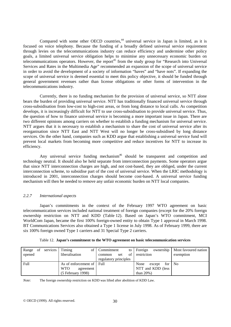Compared with some other OECD countries,<sup>44</sup> universal service in Japan is limited, as it is focused on voice telephony. Because the funding of a broadly defined universal service requirement through levies on the telecommunications industry can reduce efficiency and undermine other policy goals, a limited universal service obligation helps to minimise any unnecessary economic burden on telecommunications operators. However, the report<sup>45</sup> from the study group for "Research into Universal Services and Rates in the Multimedia Age" recommended an expansion of the scope of universal service in order to avoid the development of a society of information "haves" and "have nots". If expanding the scope of universal service is deemed essential to meet this policy objective, it should be funded through general government revenues rather than license obligations or other forms of intervention in the telecommunications industry.

 Currently, there is no funding mechanism for the provision of universal service, so NTT alone bears the burden of providing universal service. NTT has traditionally financed universal service through cross-subsidisation from low-cost to high-cost areas, or from long distance to local calls. As competition develops, it is increasingly difficult for NTT to use cross-subsidisation to provide universal service. Thus, the question of how to finance universal service is becoming a more important issue in Japan. There are two different opinions among carriers on whether to establish a funding mechanism for universal service. NTT argues that it is necessary to establish a mechanism to share the cost of universal service after its reorganisation since NTT East and NTT West will no longer be cross-subsidised by long distance services. On the other hand, companies such as KDD argue that establishing a universal service fund will prevent local markets from becoming more competitive and reduce incentives for NTT to increase its efficiency.

Any universal service funding mechanism<sup>46</sup> should be transparent and competition and technology neutral. It should also be held separate from interconnection payments. Some operators argue that since NTT interconnection charges are high, and not cost-based, they are obliged, under the current interconnection scheme, to subsidise part of the cost of universal service. When the LRIC methodology is introduced in 2001, interconnection charges should become cost-based. A universal service funding mechanism will then be needed to remove any unfair economic burden on NTT local companies.

## *2.2.7 International aspects*

 Japan's commitments in the context of the February 1997 WTO agreement on basic telecommunication services included national treatment of foreign companies (except for the 20% foreign ownership restriction on NTT and KDD (Table 12). Based on Japan's WTO commitment, MCI WorldCom Japan, became the first 100% foreign-owned entity to obtain Type 1 approval in March 1998. BT Communications Services also obtained a Type 1 license in July 1998. As of February 1999, there are six 100% foreign owned Type 1 carriers and 31 Special Type 2 carriers.

| services<br>of<br>Range<br>opened | Timing<br>οf<br>liberalisation                                              | Commitment<br>set<br>common<br>regulatory principles | to Foreign<br>of restriction                                | ownership   Most favoured nation<br>exemption |
|-----------------------------------|-----------------------------------------------------------------------------|------------------------------------------------------|-------------------------------------------------------------|-----------------------------------------------|
| Full                              | As of enforcement of Full<br><b>WTO</b><br>agreement<br>$(5$ February 1998) |                                                      | except for No<br>None<br>NTT and KDD (less<br>than $20\%$ ) |                                               |

*Note*: The foreign ownership restriction on KDD was lifted after abolition of KDD Law.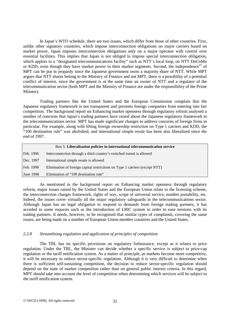In Japan's WTO schedule, there are two issues, which differ from those of other countries. First, unlike other signatory countries, which impose interconnection obligations on major carriers based on market power, Japan imposes interconnection obligations only on a major operator with control over essential facilities. This implies that Japan is not obliged to impose special interconnection obligation, which applies to a "designated telecommunications facility" such as NTT's local loop, on NTT DoCoMo or KDD, even though they have market power in their market segments. Second, the independence<sup>47</sup> of MPT can be put in jeopardy since the Japanese government owns a majority share of NTT. While MPT argues that NTT shares belong to the Ministry of Finance and not MPT, there is a possibility of a potential conflict of interest, since the government is at the same time an owner of NTT and a regulator of the telecommunication sector (both MPT and the Ministry of Finance are under the responsibility of the Prime Minster).

 Trading partners like the United States and the European Commission complain that the Japanese regulatory framework is not transparent and prevents foreign companies from entering into fair competition. The background report on Enhancing market openness through regulatory reform analysed a number of concerns that Japan's trading partners have raised about the Japanese regulatory framework in the telecommunications sector. MPT has made significant changes to address concerns of foreign firms in particular. For example, along with lifting foreign ownership restriction on Type 1 carriers and KDD, the "100 destination rule" was abolished, and international simple resale has been also liberalised since the end of 1997.

|                  | Box 5. Liberalisation policies in international telecommunication service   |
|------------------|-----------------------------------------------------------------------------|
| Feb. 1996        | Interconnection through a third country's switched transit is allowed       |
| Dec. 1997        | International simple resale is allowed                                      |
| Feb. 1998        | Elimination of foreign capital restrictions on Type 1 carriers (except NTT) |
| <b>June 1998</b> | Elimination of "100 destination rule"                                       |

 As mentioned in the background report on Enhancing market openness through regulatory reform, major issues raised by the United States and the European Union relate to the licensing scheme, the interconnection charges framework, rights of way, scope of universal service, number portability, etc. Indeed, the issues cover virtually all the major regulatory safeguards in the telecommunications sector. Although Japan has no legal obligation to respond to demands from foreign trading partners, it has acceded to some requests such as the introduction of LRIC system in order to ease tensions with its trading partners. It needs, however, to be recognised that similar types of complaints, covering the same issues, are being made on a number of European Union member countries and the United States.

## *2.2.8 Streamlining regulation and application of principles of competition*

 The TBL has no specific provisions on regulatory forbearance, except as it relates to price regulation. Under the TBL, the Minister can decide whether a specific service is subject to price-cap regulation or the tariff notification system. As a matter of principle, as markets become more competitive, it will be necessary to reduce sector-specific regulation. Although it is very difficult to determine when there is sufficient self-sustaining competition, the decision to reduce sector-specific regulation should depend on the state of market competition rather than on general public interest criteria. In this regard, MPT should take into account the level of competition when determining which services will be subject to the tariff notification system.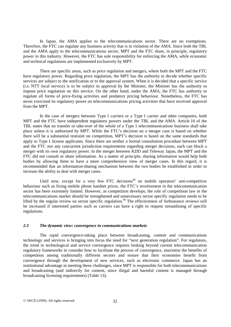In Japan, the AMA applies to the telecommunications sector. There are no exemptions. Therefore, the FTC can regulate any business activity that is in violation of the AMA. Since both the TBL and the AMA apply to the telecommunications sector, MPT and the FTC share, in principle, regulatory power in this industry. However, the FTC has sole responsibility for enforcing the AMA, while economic and technical regulations are implemented exclusively by MPT.

 There are specific areas, such as price regulation and mergers, where both the MPT and the FTC have regulatory power. Regarding price regulation, the MPT has the authority to decide whether specific services are subject to the notification or to the approval system. When it is decided that a specific service (*i.e.* NTT local service) is to be subject to approval by the Minister, the Minister has the authority to impose price regulation on this service. On the other hand, under the AMA, the FTC has authority to regulate all forms of price-fixing activities and predatory pricing behaviour. Nonetheless, the FTC has never exercised its regulatory power on telecommunications pricing activities that have received approval from the MPT.

 In the case of mergers between Type 1 carriers or a Type 1 carrier and other companies, both MPT and the FTC have independent regulatory powers under the TBL and the AMA. Article 16 of the TBL states that no transfer or take-over of the whole of a Type 1 telecommunications business shall take place unless it is authorised by MPT. While the FTC's decision on a merger case is based on whether there will be a substantial restraint on competition, MPT's decision is based on the same standards that apply to Type 1 license applicants. Since there are neither a formal consultation procedure between MPT and the FTC nor any concurrent jurisdiction requirements regarding merger decisions, each can block a merger with its own regulatory power. In the merger between KDD and Teleway Japan, the MPT and the FTC did not consult or share information. As a matter of principle, sharing information would help both bodies by allowing them to have a more comprehensive view of merger cases. In this regard, it is recommended that an information-sharing mechanism between the two bodies be established in order to increase the ability to deal with merger cases.

Until now, except for a very few FTC decisions<sup>48</sup> on mobile operators' anti-competitive behaviour such as fixing mobile phone handset prices, the FTC's involvement in the telecommunication sector has been extremely limited. However, as competition develops, the role of competition law in the telecommunications market should be strengthened and unnecessary sector specific regulation needs to be lifted by the regular review on sector specific regulation.<sup>49</sup> The effectiveness of forbearance reviews will be increased if interested parties such as carriers can have a right to request streamlining of specific regulations.

## *2.3 The dynamic view: convergence in communications markets*

 The rapid convergence-taking place between broadcasting, content and communications technology and services is bringing into focus the need for "next generation regulation". For regulators, the trend in technological and service convergence requires looking beyond current telecommunication regulatory frameworks to consider how to facilitate the process of convergence, maximise the benefits of competition among traditionally different sectors and ensure that their economies benefit from convergence through the development of new services, such as electronic commerce. Japan has an institutional advantage in meeting these challenges, since MPT is responsible for both telecommunications and broadcasting (and indirectly for content, since illegal and harmful content is managed through broadcasting licensing requirements) (Table 13).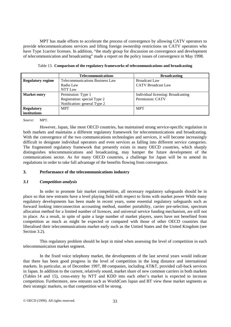MPT has made efforts to accelerate the process of convergence by allowing CATV operators to provide telecommunications services and lifting foreign ownership restrictions on CATV operators who have Type 1carrier licenses. In addition, "the study group for discussion on convergence and development of telecommunication and broadcasting" made a report on the policy issues of convergence in May 1998.

|                          | <b>Telecommunications</b>       | <b>Broadcasting</b>                |
|--------------------------|---------------------------------|------------------------------------|
|                          |                                 |                                    |
| <b>Regulatory regime</b> | Telecommunications Business Law | <b>Broadcast Law</b>               |
|                          | Radio Law                       | <b>CATV</b> Broadcast Law          |
|                          | NTT Law                         |                                    |
| <b>Market entry</b>      | Permission: Type 1              | Individual licensing: Broadcasting |
|                          | Registration: special Type 2    | Permission: CATV                   |
|                          | Notification: general Type 2    |                                    |
| <b>Regulatory</b>        | <b>MPT</b>                      | <b>MPT</b>                         |
| institutions             |                                 |                                    |

Table 13. **Comparison of the regulatory frameworks of telecommunications and broadcasting**

#### *Source*: MPT.

 However, Japan, like most OECD countries, has maintained strong service-specific regulation in both markets and maintains a different regulatory framework for telecommunications and broadcasting. With the convergence of the two communications technologies and services, it will become increasingly difficult to designate individual operators and even services as falling into different service categories. The fragmented regulatory framework that presently exists in many OECD countries, which sharply distinguishes telecommunications and broadcasting, may hamper the future development of the communications sector. As for many OECD countries, a challenge for Japan will be to amend its regulations in order to take full advantage of the benefits flowing from convergence.

## **3. Performance of the telecommunications industry**

#### *3.1 Competition analysis*

 In order to promote fair market competition, all necessary regulatory safeguards should be in place so that new entrants have a level playing field with respect to firms with market power While many regulatory developments has been made in recent years, some essential regulatory safeguards such as forward looking interconnection accounting method, number portability, carrier pre-selection, spectrum allocation method for a limited number of licences, and universal service funding mechanism, are still not in place. As a result, in spite of quite a large number of market players, users have not benefited from competition as much as might be expected or compared with those of other OECD countries that liberalised their telecommunications market early such as the Untied States and the United Kingdom (see Section 3.2).

 This regulatory problem should be kept in mind when assessing the level of competition in each telecommunication market segment.

 In the fixed voice telephony market, the developments of the last several years would indicate that there has been good progress in the level of competition in the long distance and international markets. In particular, as of December 1997, 88 companies, including AT&T, provided call-back services in Japan. In addition to the current, relatively sound, market share of new common carriers in both markets (Tables 14 and 15), cross-entry by NTT and KDD into each other's market is expected to increase competition. Furthermore, new entrants such as WorldCom Japan and BT view these market segments as their strategic markets, so that competition will be strong.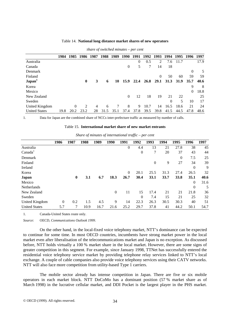#### Table 14. **National long distance market shares of new operators**

|                      | 1984 | 1985     | 1986 | 1987           | 1988 | 1989 | 1990     | 1991     | 1992 | 1993           | 1994     | 1995 | 1996     | 1997 |
|----------------------|------|----------|------|----------------|------|------|----------|----------|------|----------------|----------|------|----------|------|
| Australia            |      |          |      |                |      |      |          | $\theta$ | 0.5  | 2              | 7.6      | 11.7 |          | 17.9 |
| Canada               |      |          |      |                |      |      | $\theta$ | 5        |      | 14             | 18       |      |          |      |
| Denmark              |      |          |      |                |      |      |          |          |      |                |          |      | $\Omega$ | 5    |
| Finland              |      |          |      |                |      |      |          |          |      | $\overline{0}$ | 50       | 60   | 59       | 59   |
| Japan <sup>1</sup>   |      |          | 0    | 3              | 6    | 10   | 15.9     | 22.4     |      | 26.8 29.1      | 31.3     | 31.9 | 35.7     | 40.6 |
| Korea                |      |          |      |                |      |      |          |          |      |                |          |      | 9        | 8    |
| Mexico               |      |          |      |                |      |      |          |          |      |                |          |      | $\Omega$ | 18.8 |
| New Zealand          |      |          |      |                |      |      | $\Omega$ | 12       | 18   | 19             | 21       | 22   |          | 25   |
| Sweden               |      |          |      |                |      |      |          |          |      |                | $\Omega$ | 5    | 10       | 17   |
| United Kingdom       |      | $\Omega$ | 2    | $\overline{4}$ | 6    | 7    | 8        | 9        | 10.7 | 14             | 16.5     | 18.6 | 21       | 24   |
| <b>United States</b> | 19.8 | 20.2     | 23.2 | 28             | 31.5 | 35.1 | 37.4     | 37.8     | 39.5 | 39.8           | 41.5     | 44.5 | 47.8     | 48.6 |

|  |  |  |  |  | Share of switched minutes $-$ per cent |  |  |  |
|--|--|--|--|--|----------------------------------------|--|--|--|
|--|--|--|--|--|----------------------------------------|--|--|--|

1. Data for Japan are the combined share of NCCs inter-prefecture traffic as measured by number of calls.

#### Table 15. **International market share of new market entrants**

| Share of minutes of international traffic $-$ per cent |  |  |
|--------------------------------------------------------|--|--|
|--------------------------------------------------------|--|--|

|                      | 1986     | 1987     | 1988 | 1989 | 1990     | 1991           | 1992     | 1993           | 1994 | 1995           | 1996           | 1997 |
|----------------------|----------|----------|------|------|----------|----------------|----------|----------------|------|----------------|----------------|------|
| Australia            |          |          |      |      |          | $\overline{0}$ | 4.4      | 13             | 21   | 27.8           | 38             | 45   |
| Canada <sup>1</sup>  |          |          |      |      |          |                | 0        | 7              | 20   | 37             | 43             | 44   |
| Denmark              |          |          |      |      |          |                |          |                |      | $\overline{0}$ | 7.5            | 25   |
| Finland              |          |          |      |      |          |                |          | $\overline{0}$ | 9    | 27             | 34             | 39   |
| Ireland              |          |          |      |      |          |                |          |                |      |                | $\theta$       | 9    |
| Korea                |          |          |      |      |          | $\theta$       | 20.1     | 25.5           | 31.3 | 27.4           | 26.5           | 32   |
| Japan                |          | $\bf{0}$ | 3.1  | 6.7  | 18.3     | 26.7           | 30.4     | 33.1           | 33.7 | 33.8           | 35.1           | 40.6 |
| Mexico               |          |          |      |      |          |                |          |                |      |                | $\overline{0}$ | 31.6 |
| Netherlands          |          |          |      |      |          |                |          |                |      |                | $\mathbf{0}$   | 5    |
| New Zealand          |          |          |      |      | $\theta$ | 11             | 15       | 17.4           | 21   | 21             | 21.8           | 36   |
| Sweden               |          |          |      |      |          |                | $\theta$ | 7.4            | 15   | 21             | 25             | 32   |
| United Kingdom       | $\theta$ | 0.2      | 1.5  | 4.5  | 9        | 14             | 22.3     | 26.3           | 30.5 | 30.3           | 40             | 51   |
| <b>United States</b> | 5.7      | 7        | 10.9 | 16.7 | 21.6     | 25.2           | 29.7     | 37.8           | 41   | 44.2           | 50.1           | 54.7 |

1. Canada-United States route only.

*Source*: OECD, *Communications Outlook 1999*.

 On the other hand, in the local-fixed voice telephony market, NTT's dominance can be expected to continue for some time. In most OECD countries, incumbents have strong market power in the local market even after liberalisation of the telecommunications market and Japan is no exception. As discussed before, NTT holds virtually a 100 % market share in the local market. However, there are some signs of greater competition in this segment. For example, since January 1998, TTNet has successfully entered the residential voice telephony service market by providing telephone relay services linked to NTT's local exchange. A couple of cable companies also provide voice telephony services using their CATV networks. NTT will also face more competition from utility-based Type 1 carriers.

 The mobile sector already has intense competition in Japan. There are five or six mobile operators in each market block. NTT DoCoMo has a dominant position (57 % market share as of March 1998) in the lucrative cellular market, and DDI Pocket is the largest player in the PHS market.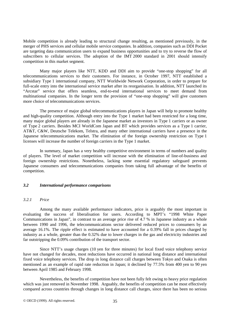Mobile competition is already leading to structural change resulting, as mentioned previously, in the merger of PHS services and cellular mobile service companies. In addition, companies such as DDI Pocket are targeting data communication users to expand business opportunities and to try to reverse the flow of subscribers to cellular services. The adoption of the IMT 2000 standard in 2001 should intensify competition in this market segment.

 Many major players like NTT, KDD and DDI aim to provide "one-stop shopping" for all telecommunications services to their customers. For instance, in October 1997, NTT established a subsidiary Type 1 international company, NTT Worldwide Network Corporation, in order to prepare for full-scale entry into the international service market after its reorganisation. In addition, NTT launched its "Arcstar" service that offers seamless, end-to-end international services to meet demand from multinational companies. In the longer term the provision of "one-stop shopping" will give customers more choice of telecommunications services.

 The presence of major global telecommunications players in Japan will help to promote healthy and high-quality competition. Although entry into the Type 1 market had been restricted for a long time, many major global players are already in the Japanese market as investors in Type 1 carriers or as owner of Type 2 carriers. Besides MCI WorldCom Japan and BT which provides services as a Type 1 carrier, AT&T, C&W, Deutsche Telekom, Telstra, and many other international carriers have a presence in the Japanese telecommunications market. The elimination of the foreign ownership restriction on Type 1 licenses will increase the number of foreign carriers in the Type 1 market.

 In summary, Japan has a very healthy competitive environment in terms of numbers and quality of players. The level of market competition will increase with the elimination of line-of-business and foreign ownership restrictions. Nonetheless, lacking some essential regulatory safeguard prevents Japanese consumers and telecommunications companies from taking full advantage of the benefits of competition.

## *3.2 International performance comparisons*

## *3.2.1 Price*

 Among the many available performance indicators, price is arguably the most important in evaluating the success of liberalisation for users. According to MPT's "1998 White Paper Communications in Japan", in contrast to an average price rise of 4.7 % in Japanese industry as a whole between 1990 and 1996, the telecommunications sector delivered reduced prices to consumers by an average 16.1%. The ripple effect is estimated to have accounted for a 0.39% fall in prices charged by industry as a whole, greater than the 0.32% due to lower charges in the gas and electricity industries and far outstripping the 0.09% contribution of the transport sector.

 Since NTT's usage charges (10 yen for three minutes) for local fixed voice telephony service have not changed for decades, most reductions have occurred in national long distance and international fixed voice telephony services. The drop in long distance call charges between Tokyo and Osaka is often mentioned as an example of rapid rate reduction in Japan; it declined by 77.5% from 400 yen to 90 yen between April 1985 and February 1998.

 Nevertheless, the benefits of competition have not been fully felt owing to heavy price regulation which was just removed in November 1998. Arguably, the benefits of competition can be most effectively compared across countries through changes in long distance call charges, since there has been no serious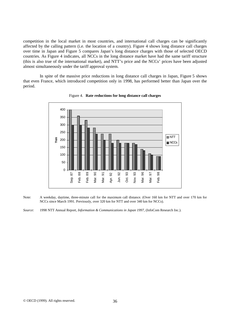competition in the local market in most countries, and international call charges can be significantly affected by the calling pattern (i.e. the location of a country). Figure 4 shows long distance call charges over time in Japan and Figure 5 compares Japan's long distance charges with those of selected OECD countries. As Figure 4 indicates, all NCCs in the long distance market have had the same tariff structure (this is also true of the international market), and NTT's price and the NCCs' prices have been adjusted almost simultaneously under the tariff approval system.

 In spite of the massive price reductions in long distance call charges in Japan, Figure 5 shows that even France, which introduced competition only in 1998, has performed better than Japan over the period.



Figure 4. **Rate reductions for long distance call charges** 

Note: A weekday, daytime, three-minute call for the maximum call distance. (Over 160 km for NTT and over 170 km for NCCs since March 1991. Previously, over 320 km for NTT and over 340 km for NCCs).

*Source*: 1998 NTT Annual Report, *Information & Communications in Japan 1997*, (InfoCom Research Inc.).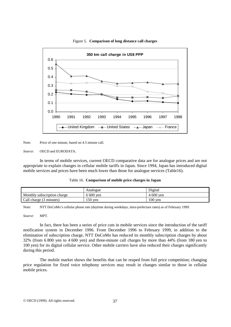

#### Figure 5. **Comparison of long distance call charges**

Note: Price of one minute, based on 4.5 minute call.

*Source*: OECD and EURODATA.

 In terms of mobile services, current OECD comparative data are for analogue prices and are not appropriate to explain changes in cellular mobile tariffs in Japan. Since 1994, Japan has introduced digital mobile services and prices have been much lower than those for analogue services (Table16).

|  | Table 16. Comparison of mobile price charges in Japan |  |  |  |  |
|--|-------------------------------------------------------|--|--|--|--|
|--|-------------------------------------------------------|--|--|--|--|

|                             | Analogue  | Digital           |
|-----------------------------|-----------|-------------------|
| Monthly subscription charge | 6 600 yen | $600$ ven         |
| Call charge (3 minutes)     | $150$ ven | $100 \text{ yen}$ |

Note: NTT DoCoMo's cellular phone rate (daytime during weekdays, intra-prefecture rates) as of February 1999.

#### *Source*: MPT.

 In fact, there has been a series of price cuts in mobile services since the introduction of the tariff notification system in December 1996. From December 1996 to February 1999, in addition to the elimination of subscription charge, NTT DoCoMo has reduced its monthly subscription charges by about 32% (from 6 800 yen to 4 600 yen) and three-minute call charges by more than 44% (from 180 yen to 100 yen) for its digital cellular service. Other mobile carriers have also reduced their charges significantly during this period.

 The mobile market shows the benefits that can be reaped from full price competition; changing price regulation for fixed voice telephony services may result in changes similar to those in cellular mobile prices.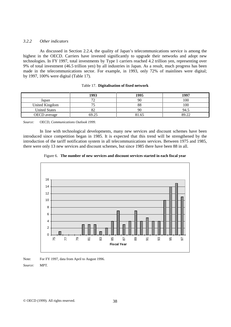## *3.2.2 Other indicators*

 As discussed in Section 2.2.4, the quality of Japan's telecommunications service is among the highest in the OECD. Carriers have invested significantly to upgrade their networks and adopt new technologies. In FY 1997, total investments by Type 1 carriers reached 4.2 trillion yen, representing over 9% of total investment (46.5 trillion yen) by all industries in Japan. As a result, much progress has been made in the telecommunications sector. For example, in 1993, only 72% of mainlines were digital; by 1997, 100% were digital (Table 17).

|                      | 1993           | 1995  | 1007  |
|----------------------|----------------|-------|-------|
| Japan                | הה<br><u>.</u> | 90    | 100   |
| United Kingdom       |                | 88    | 100   |
| <b>United States</b> | D٢<br>ΟZ       | 90    | 94.   |
| OECD average         | 69.25          | 81.65 | 89.22 |

|  | Table 17. Digitalisation of fixed network |  |  |
|--|-------------------------------------------|--|--|
|--|-------------------------------------------|--|--|

*Source:* OECD*, Communications Outlook 1999.* 

 In line with technological developments, many new services and discount schemes have been introduced since competition began in 1985. It is expected that this trend will be strengthened by the introduction of the tariff notification system in all telecommunications services. Between 1975 and 1985, there were only 13 new services and discount schemes, but since 1985 there have been 88 in all.





Note: For FY 1997, data from April to August 1996. *Source:* MPT*.*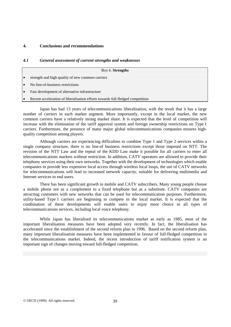## **4. Conclusions and recommendations**

| General assessment of current strengths and weaknesses | 4.1 |  |  |  |  |  |  |
|--------------------------------------------------------|-----|--|--|--|--|--|--|
|--------------------------------------------------------|-----|--|--|--|--|--|--|

|           | Box 6. Strengths                                                               |
|-----------|--------------------------------------------------------------------------------|
| $\bullet$ | strength and high quality of new common carriers                               |
| $\bullet$ | No line-of-business restrictions                                               |
| $\bullet$ | Fast development of alternative infrastructure                                 |
|           | Recent acceleration of liberalisation efforts towards full fledged competition |
|           |                                                                                |

 Japan has had 13 years of telecommunications liberalisation, with the result that it has a large number of carriers in each market segment. More importantly, except in the local market, the new common carriers have a relatively strong market share. It is expected that the level of competition will increase with the elimination of the tariff approval system and foreign ownership restrictions on Type 1 carriers. Furthermore, the presence of many major global telecommunications companies ensures highquality competition among players.

 Although carriers are experiencing difficulties to combine Type 1 and Type 2 services within a single company structure, there is no line-of business restrictions except those imposed on NTT. The revision of the NTT Law and the repeal of the KDD Law make it possible for all carriers to enter all telecommunications markets without restriction. In addition, CATV operators are allowed to provide their telephony services using their own networks. Together with the development of technologies which enable companies to provide less expensive local access through wireless local loops, the use of CATV networks for telecommunications will lead to increased network capacity, suitable for delivering multimedia and Internet services to end users.

 There has been significant growth in mobile and CATV subscribers. Many young people choose a mobile phone not as a complement to a fixed telephone but as a substitute. CATV companies are attracting customers with new networks that can be used for telecommunication purposes. Furthermore, utility-based Type 1 carriers are beginning to compete in the local market. It is expected that the combination of these developments will enable users to enjoy more choice in all types of telecommunications services, including local voice telephony.

 While Japan has liberalised its telecommunications market as early as 1985, most of the important liberalisation measures have been adopted very recently. In fact, the liberalisation has accelerated since the establishment of the second reform plan in 1996. Based on the second reform plan, many important liberalisation measures have been implemented in favour of full-fledged competition in the telecommunications market. Indeed, the recent introduction of tariff notification system is an important sign of changes moving toward full-fledged competition.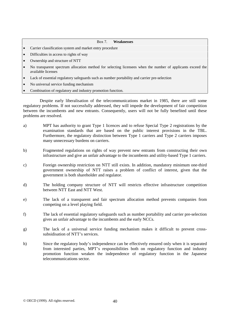#### Box 7. **Weaknesses**

- $\bullet$ Carrier classification system and market entry procedure
- $\bullet$ Difficulties in access to rights of way
- $\bullet$ Ownership and structure of NTT
- $\bullet$  No transparent spectrum allocation method for selecting licensees when the number of applicants exceed the available licenses
- $\bullet$ Lack of essential regulatory safeguards such as number portability and carrier pre-selection
- $\bullet$ No universal service funding mechanism
- $\bullet$ Combination of regulatory and industry promotion function.

 Despite early liberalisation of the telecommunications market in 1985, there are still some regulatory problems. If not successfully addressed, they will impede the development of fair competition between the incumbents and new entrants. Consequently, users will not be fully benefited until these problems are resolved.

- a) MPT has authority to grant Type 1 licences and to refuse Special Type 2 registrations by the examination standards that are based on the public interest provisions in the TBL. Furthermore, the regulatory distinction between Type 1 carriers and Type 2 carriers imposes many unnecessary burdens on carriers.
- b) Fragmented regulations on rights of way prevent new entrants from constructing their own infrastructure and give an unfair advantage to the incumbents and utility-based Type 1 carriers.
- c) Foreign ownership restriction on NTT still exists. In addition, mandatory minimum one-third government ownership of NTT raises a problem of conflict of interest, given that the government is both shareholder and regulator.
- d) The holding company structure of NTT will restricts effective infrastructure competition between NTT East and NTT West.
- e) The lack of a transparent and fair spectrum allocation method prevents companies from competing on a level playing field.
- f) The lack of essential regulatory safeguards such as number portability and carrier pre-selection gives an unfair advantage to the incumbents and the early NCCs.
- g) The lack of a universal service funding mechanism makes it difficult to prevent crosssubsidisation of NTT's services.
- h) Since the regulatory body's independence can be effectively ensured only when it is separated from interested parties, MPT's responsibilities both on regulatory function and industry promotion function weaken the independence of regulatory function in the Japanese telecommunications sector.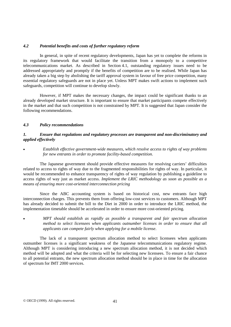## *4.2 Potential benefits and costs of further regulatory reform*

 In general, in spite of recent regulatory developments, Japan has yet to complete the reforms in its regulatory framework that would facilitate the transition from a monopoly to a competitive telecommunications market. As described in Section 4.1, outstanding regulatory issues need to be addressed appropriately and promptly if the benefits of competition are to be realised. While Japan has already taken a big step by abolishing the tariff approval system in favour of free price competition, many essential regulatory safeguards are not in place yet. Unless MPT makes swift actions to implement such safeguards, competition will continue to develop slowly.

 However, if MPT makes the necessary changes, the impact could be significant thanks to an already developed market structure. It is important to ensure that market participants compete effectively in the market and that such competition is not constrained by MPT. It is suggested that Japan consider the following recommendations.

## *4.3 Policy recommendations*

## *1. Ensure that regulations and regulatory processes are transparent and non-discriminatory and applied effectively*

 $\bullet$  *Establish effective government-wide measures, which resolve access to rights of way problems for new entrants in order to promote facility-based competition.* 

 The Japanese government should provide effective measures for resolving carriers' difficulties related to access to rights of way due to the fragmented responsibilities for rights of way. In particular, it would be recommended to enhance transparency of rights of way regulation by publishing a guideline to access rights of way just as market access. *Implement the LRIC methodology as soon as possible as a means of ensuring more cost-oriented interconnection pricing* 

 Since the ABC accounting system is based on historical cost, new entrants face high interconnection charges. This prevents them from offering low-cost services to customers. Although MPT has already decided to submit the bill to the Diet in 2000 in order to introduce the LRIC method, the implementation timetable should be accelerated in order to ensure more cost-oriented pricing.

#### - *MPT should establish as rapidly as possible a transparent and fair spectrum allocation method to select licensees when applicants outnumber licenses in order to ensure that all applicants can compete fairly when applying for a mobile license*.

 The lack of a transparent spectrum allocation method to select licensees when applicants outnumber licenses is a significant weakness of the Japanese telecommunications regulatory regime. Although MPT is considering introducing a new spectrum allocation method, it is not decided which method will be adopted and what the criteria will be for selecting new licensees. To ensure a fair chance to all potential entrants, the new spectrum allocation method should be in place in time for the allocation of spectrum for IMT 2000 services.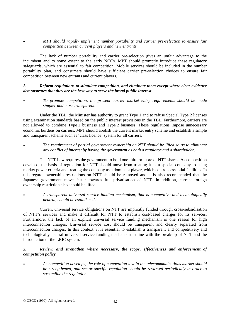## *MPT should rapidly implement number portability and carrier pre-selection to ensure fair competition between current players and new entrants.*

 The lack of number portability and carrier pre-selection gives an unfair advantage to the incumbent and to some extent to the early NCCs. MPT should promptly introduce these regulatory safeguards, which are essential to fair competition. Mobile services should be included in the number portability plan, and consumers should have sufficient carrier pre-selection choices to ensure fair competition between new entrants and current players.

## *2. Reform regulations to stimulate competition, and eliminate them except where clear evidence demonstrates that they are the best way to serve the broad public interest*

- *To promote competition, the present carrier market entry requirements should be made simpler and more transparent.*

 Under the TBL, the Minister has authority to grant Type 1 and to refuse Special Type 2 licenses using examination standards based on the public interest provisions in the TBL. Furthermore, carriers are not allowed to combine Type 1 business and Type 2 business. These regulations impose unnecessary economic burdens on carriers. MPT should abolish the current market entry scheme and establish a simple and transparent scheme such as 'class licence' system for all carriers.

#### - *The requirement of partial government ownership on NTT should be lifted so as to eliminate any conflict of interest by having the government as both a regulator and a shareholder*.

 The NTT Law requires the government to hold one-third or more of NTT shares. As competition develops, the basis of regulation for NTT should move from treating it as a special company to using market power criteria and treating the company as a dominant player, which controls essential facilities. In this regard, ownership restrictions on NTT should be removed and it is also recommended that the Japanese government move faster towards full privatisation of NTT. In addition, current foreign ownership restriction also should be lifted.

#### $\bullet$  *A transparent universal service funding mechanism, that is competitive and technologically neutral, should be established*.

 Current universal service obligations on NTT are implicitly funded through cross-subsidisation of NTT's services and make it difficult for NTT to establish cost-based charges for its services. Furthermore, the lack of an explicit universal service funding mechanism is one reason for high interconnection charges. Universal service cost should be transparent and clearly separated from interconnection charges. In this context, it is essential to establish a transparent and competitively and technologically neutral universal service funding mechanism in line with the break-up of NTT and the introduction of the LRIC system.

# *3. Review, and strengthen where necessary, the scope, effectiveness and enforcement of competition policy*

 $\bullet$  *As competition develops, the role of competition law in the telecommunications market should be strengthened, and sector specific regulation should be reviewed periodically in order to streamline the regulation.*

 $\bullet$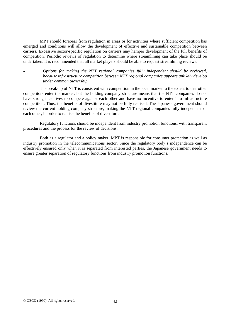MPT should forebear from regulation in areas or for activities where sufficient competition has emerged and conditions will allow the development of effective and sustainable competition between carriers. Excessive sector-specific regulation on carriers may hamper development of the full benefits of competition. Periodic reviews of regulation to determine where streamlining can take place should be undertaken. It is recommended that all market players should be able to request streamlining reviews.

 $\bullet$  *Options for making the NTT regional companies fully independent should be reviewed, because infrastructure competition between NTT regional companies appears unlikely develop under common ownership*.

 The break-up of NTT is consistent with competition in the local market to the extent to that other competitors enter the market, but the holding company structure means that the NTT companies do not have strong incentives to compete against each other and have no incentive to enter into infrastructure competition. Thus, the benefits of divestiture may not be fully realised. The Japanese government should review the current holding company structure, making the NTT regional companies fully independent of each other, in order to realise the benefits of divestiture.

 Regulatory functions should be independent from industry promotion functions, with transparent procedures and the process for the review of decisions.

 Both as a regulator and a policy maker, MPT is responsible for consumer protection as well as industry promotion in the telecommunications sector. Since the regulatory body's independence can be effectively ensured only when it is separated from interested parties, the Japanese government needs to ensure greater separation of regulatory functions from industry promotion functions.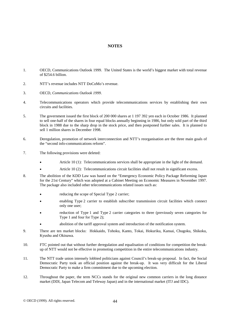## **NOTES**

- 1. OECD, Communications Outlook 1999. The United States is the world's biggest market with total revenue of \$254.6 billion.
- 2. NTT's revenue includes NTT DoCoMo's revenue.
- 3. OECD, *Communications Outlook 1999*.
- 4. Telecommunications operators which provide telecommunications services by establishing their own circuits and facilities.
- 5. The government issued the first block of 200 000 shares at 1 197 392 yen each in October 1986. It planned to sell one-half of the shares in four equal blocks annually beginning in 1986, but only sold part of the third block in 1988 due to the sharp drop in the stock price, and then postponed further sales. It is planned to sell 1 million shares in December 1998.
- 6. Deregulation, promotion of network interconnection and NTT's reorganisation are the three main goals of the "second info-communications reform".
- 7. The following provisions were deleted:
	- $\bullet$ Article 10 (1): Telecommunications services shall be appropriate in the light of the demand.
	- $\bullet$ Article 10 (2): Telecommunications circuit facilities shall not result in significant excess.
- 8. The abolition of the KDD Law was based on the "Emergency Economic Policy Package Reforming Japan for the 21st Century" which was adopted at a Cabinet Meeting on Economic Measures in November 1997. The package also included other telecommunications related issues such as:
	- $\bullet$ reducing the scope of Special Type 2 carrier;
	- $\bullet$  enabling Type 2 carrier to establish subscriber transmission circuit facilities which connect only one user;
	- reduction of Type 1 and Type 2 carrier categories to three (previously seven categories for Type 1 and four for Type 2);
	- $\bullet$ abolition of the tariff approval system and introduction of the notification system.
- 9. There are ten market blocks: Hokkaido, Tohoku, Kanto, Tokai, Hokuriku, Kansai, Chugoku, Shikoku, Kyushu and Okinawa.
- 10. FTC pointed out that without further deregulation and equalisation of conditions for competition the breakup of NTT would not be effective in promoting competition in the entire telecommunications industry.
- 11. The NTT trade union intensely lobbied politicians against Council's break-up proposal. In fact, the Social Democratic Party took an official position against the break-up. It was very difficult for the Liberal Democratic Party to make a firm commitment due to the upcoming election.
- 12. Throughout the paper, the term NCCs stands for the original new common carriers in the long distance market (DDI, Japan Telecom and Teleway Japan) and in the international market (ITJ and IDC).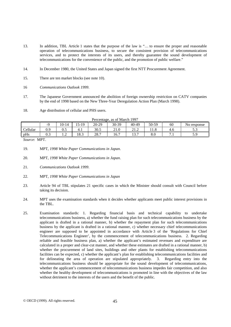- 13. In addition, TBL Article 1 states that the purpose of the law is "… to ensure the proper and reasonable operation of telecommunications business, to secure the consistent provision of telecommunications services, and to protect the interests of its users, and thereby guarantee the sound development of telecommunications for the convenience of the public, and the promotion of public welfare."
- 14. In December 1980, the United States and Japan signed the first NTT Procurement Agreement.
- 15. There are ten market blocks (see note 10).
- 16 *Communications Outlook 1999*.
- 17. The Japanese Government announced the abolition of foreign ownership restriction on CATV companies by the end of 1998 based on the New Three-Year Deregulation Action Plan (March 1998).
- 18. Age distribution of cellular and PHS users.

| Percentage, as of March 1997 |  |
|------------------------------|--|
|------------------------------|--|

|          |           |                               |        | . .       |             |                                                              |                          |                               |                                   |
|----------|-----------|-------------------------------|--------|-----------|-------------|--------------------------------------------------------------|--------------------------|-------------------------------|-----------------------------------|
|          | -U        | $0-14$<br>$10-7$              | 15-19  | $20 - 29$ | 30-39       | 40-49                                                        | 50-59                    | 60                            | $\cdot$ $\cdot$<br>response<br>NO |
| Cellular | 0.9       | U.J                           | . 4. L | 30.5      | 210<br>41.U | $^{\sim}$ 1<br>$\sqrt{ }$<br>$\overline{a}$ . $\overline{a}$ | - 0<br>. .<br>11.0       | 4.0                           | ن. ب                              |
| pHs      | ∩າ<br>U.J | $\mathbf{1} \cdot \mathbf{4}$ | 18.3   | 28.7      | 16.7        | $\sim$ $\sim$<br>13. i                                       | $\Omega$ $\Omega$<br>o.u | $\overline{\phantom{0}}$<br>. | 5.9                               |
|          |           |                               |        |           |             |                                                              |                          |                               |                                   |

*Source*: MPT.

- 19. MPT, *1998 White Paper Communications in Japan*.
- 20. MPT, *1998 White Paper Communications in Japan*.
- 21. *Communications Outlook 1999*.
- 22. MPT, *1998 White Paper Communications in Japan*
- 23. Article 94 of TBL stipulates 21 specific cases in which the Minister should consult with Council before taking its decision.
- 24. MPT uses the examination standards when it decides whether applicants meet public interest provisions in the TBL.
- 25. Examination standards: 1. Regarding financial basis and technical capability to undertake telecommunications business, a) whether the fund raising plan for such telecommunications business by the applicant is drafted in a rational manner, b) whether the repayment plan for such telecommunications business by the applicant is drafted in a rational manner, c) whether necessary chief telecommunications engineer are supposed to be appointed in accordance with Article 3 of the 'Regulations for Chief Telecommunications Engineer', by the commencement of telecommunications business. 2. Regarding reliable and feasible business plan, a) whether the applicant's estimated revenues and expenditure are calculated in a proper and clear-cut manner, and whether these estimates are drafted in a rational manner, b) whether the procurement of land sites, buildings and other plants for establishing telecommunications facilities can be expected, c) whether the applicant's plan for establishing telecommunications facilities and for delineating the area of operation are stipulated appropriately. 3. Regarding entry into the telecommunications business should be appropriate for the sound development of telecommunications, whether the applicant's commencement of telecommunications business impedes fair competition, and also whether the healthy development of telecommunications is promoted in line with the objectives of the law without detriment to the interests of the users and the benefit of the public.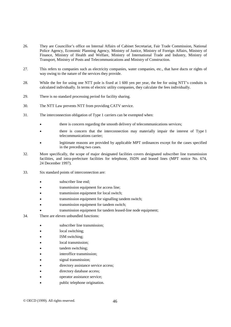- 26. They are Councillor's office on Internal Affairs of Cabinet Secretariat, Fair Trade Commission, National Police Agency, Economic Planning Agency, Ministry of Justice, Ministry of Foreign Affairs, Ministry of Finance, Ministry of Health and Welfare, Ministry of International Trade and Industry, Ministry of Transport, Ministry of Posts and Telecommunications and Ministry of Construction.
- 27. This refers to companies such as electricity companies, water companies, etc., that have ducts or rights of way owing to the nature of the services they provide.
- 28. While the fee for using one NTT pole is fixed at 1 600 yen per year, the fee for using NTT's conduits is calculated individually. In terms of electric utility companies, they calculate the fees individually.
- 29. There is no standard processing period for facility sharing.
- 30. The NTT Law prevents NTT from providing CATV service.
- 31. The interconnection obligation of Type 1 carriers can be exempted when:
	- $\bullet$ there is concern regarding the smooth delivery of telecommunications services;
	- there is concern that the interconnection may materially impair the interest of Type 1 telecommunications carrier;
	- $\bullet$  legitimate reasons are provided by applicable MPT ordinances except for the cases specified in the preceding two cases.
- 32. More specifically, the scope of major designated facilities covers designated subscriber line transmission facilities, and intra-prefecture facilities for telephone, ISDN and leased lines (MPT notice No. 674, 24 December 1997).
- 33. Six standard points of interconnection are:
	- subscriber line end;
	- $\bullet$ transmission equipment for access line;
	- $\bullet$ transmission equipment for local switch;
	- transmission equipment for signalling tandem switch;
	- $\bullet$ transmission equipment for tandem switch;
	- $\bullet$ transmission equipment for tandem leased-line node equipment;
- 34. There are eleven unbundled functions:
	- $\bullet$ subscriber line transmission;
	- $\bullet$ local switching;
	- -ISM switching;
	- local transmission;
	- tandem switching;
	- $\bullet$ interoffice transmission;
	- signal transmission;
	- directory assistance service access;
	- $\bullet$ directory database access;
	- $\bullet$ operator assistance service;
	- $\bullet$ public telephone origination.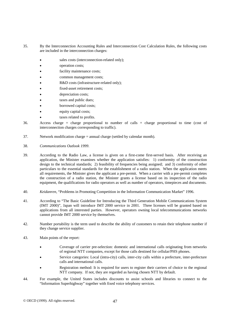- 35. By the Interconnection Accounting Rules and Interconnection Cost Calculation Rules, the following costs are included in the interconnection charges:
	- $\bullet$ sales costs (interconnection-related only);
	- $\bullet$ operation costs;
	- facility maintenance costs;
	- $\bullet$ common management costs;
	- $\bullet$ R&D costs (infrastructure-related only);
	- fixed-asset retirement costs;
	- depreciation costs;
	- $\bullet$ taxes and public dues;
	- $\bullet$ borrowed capital costs;
	- equity capital costs;
	- $\bullet$ taxes related to profits.
- 36. Access charge = charge proportional to number of calls + charge proportional to time (cost of interconnection charges corresponding to traffic).
- 37. Network modification charge = annual charge (settled by calendar month).
- 38. *Communications Outlook 1999*.
- 39. According to the Radio Law, a license is given on a first-come first-served basis. After receiving an application, the Minister examines whether the application satisfies: 1) conformity of the construction design to the technical standards; 2) feasibility of frequencies being assigned; and 3) conformity of other particulars to the essential standards for the establishment of a radio station. When the application meets all requirements, the Minister gives the applicant a pre-permit. When a carrier with a pre-permit completes the construction of a radio station, the Minister grants a license based on its inspection of the radio equipment, the qualifications for radio operators as well as number of operators, timepieces and documents.
- 40. *Keidanren*, "Problems in Promoting Competition in the Information Communication Market" 1996.
- 41. According to "The Basic Guideline for Introducing the Third Generation Mobile Communications System (IMT 2000)", Japan will introduce IMT 2000 service in 2001. Three licenses will be granted based on applications from all interested parties. However, operators owning local telecommunications networks cannot provide IMT 2000 service by themselves.
- 42. Number portability is the term used to describe the ability of customers to retain their telephone number if they change service supplier.
- 43. Main points of the report:
	- $\bullet$  Coverage of carrier pre-selection: domestic and international calls originating from networks of regional NTT companies, except for those calls destined for cellular/PHS phones.
	- - Service categories: Local (intra-city) calls, inter-city calls within a prefecture, inter-prefecture calls and international calls.
	- $\bullet$  Registration method: It is required for users to register their carriers of choice to the regional NTT company. If not, they are regarded as having chosen NTT by default.
- 44. For example, the United States includes discounts to assist schools and libraries to connect to the "Information Superhighway" together with fixed voice telephony services.